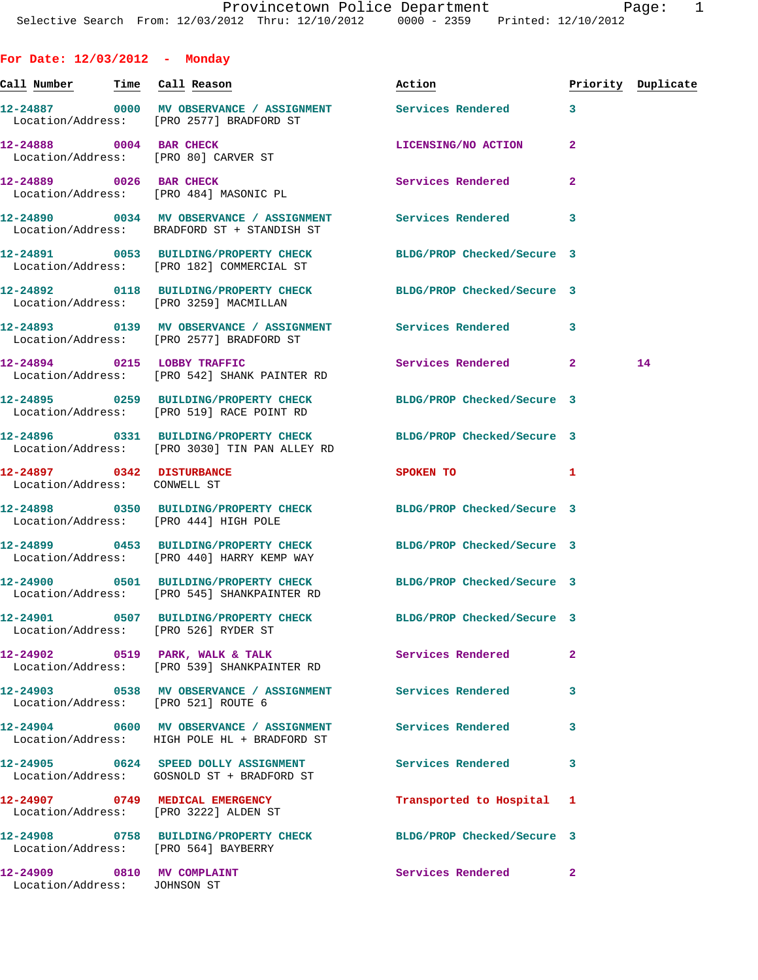| For Date: $12/03/2012$ - Monday                                   |                                                                                                                   |                            |                |                    |
|-------------------------------------------------------------------|-------------------------------------------------------------------------------------------------------------------|----------------------------|----------------|--------------------|
| <u>Call Number — Time Call Reason</u>                             |                                                                                                                   | Action                     |                | Priority Duplicate |
|                                                                   | 12-24887 0000 MV OBSERVANCE / ASSIGNMENT Services Rendered<br>Location/Address: [PRO 2577] BRADFORD ST            |                            | $\mathbf{3}$   |                    |
| 12-24888 0004 BAR CHECK<br>Location/Address: [PRO 80] CARVER ST   |                                                                                                                   | LICENSING/NO ACTION        | $\mathbf{2}$   |                    |
| 12-24889 0026 BAR CHECK<br>Location/Address: [PRO 484] MASONIC PL |                                                                                                                   | Services Rendered          | $\overline{a}$ |                    |
|                                                                   | 12-24890 0034 MV OBSERVANCE / ASSIGNMENT Services Rendered<br>Location/Address: BRADFORD ST + STANDISH ST         |                            | 3              |                    |
|                                                                   | 12-24891 0053 BUILDING/PROPERTY CHECK BLDG/PROP Checked/Secure 3<br>Location/Address: [PRO 182] COMMERCIAL ST     |                            |                |                    |
| Location/Address: [PRO 3259] MACMILLAN                            | 12-24892 0118 BUILDING/PROPERTY CHECK BLDG/PROP Checked/Secure 3                                                  |                            |                |                    |
|                                                                   | 12-24893 0139 MV OBSERVANCE / ASSIGNMENT Services Rendered<br>Location/Address: [PRO 2577] BRADFORD ST            |                            | 3              |                    |
|                                                                   | 12-24894 0215 LOBBY TRAFFIC<br>Location/Address: [PRO 542] SHANK PAINTER RD                                       | Services Rendered 2        |                | 14                 |
|                                                                   | 12-24895 0259 BUILDING/PROPERTY CHECK BLDG/PROP Checked/Secure 3<br>Location/Address: [PRO 519] RACE POINT RD     |                            |                |                    |
|                                                                   | 12-24896 0331 BUILDING/PROPERTY CHECK BLDG/PROP Checked/Secure 3<br>Location/Address: [PRO 3030] TIN PAN ALLEY RD |                            |                |                    |
| 12-24897 0342 DISTURBANCE<br>Location/Address: CONWELL ST         |                                                                                                                   | SPOKEN TO                  | 1              |                    |
| Location/Address: [PRO 444] HIGH POLE                             | 12-24898 0350 BUILDING/PROPERTY CHECK BLDG/PROP Checked/Secure 3                                                  |                            |                |                    |
|                                                                   | 12-24899 0453 BUILDING/PROPERTY CHECK<br>Location/Address: [PRO 440] HARRY KEMP WAY                               | BLDG/PROP Checked/Secure 3 |                |                    |
|                                                                   | 12-24900 0501 BUILDING/PROPERTY CHECK BLDG/PROP Checked/Secure 3<br>Location/Address: [PRO 545] SHANKPAINTER RD   |                            |                |                    |
| Location/Address: [PRO 526] RYDER ST                              | 12-24901 0507 BUILDING/PROPERTY CHECK BLDG/PROP Checked/Secure 3                                                  |                            |                |                    |
|                                                                   | 12-24902 0519 PARK, WALK & TALK<br>Location/Address: [PRO 539] SHANKPAINTER RD                                    | Services Rendered          | $\mathbf{2}$   |                    |
| Location/Address: [PRO 521] ROUTE 6                               | 12-24903 0538 MV OBSERVANCE / ASSIGNMENT Services Rendered                                                        |                            | 3              |                    |
|                                                                   | 12-24904 0600 MV OBSERVANCE / ASSIGNMENT Services Rendered<br>Location/Address: HIGH POLE HL + BRADFORD ST        |                            | 3              |                    |
|                                                                   | 12-24905 0624 SPEED DOLLY ASSIGNMENT<br>Location/Address: GOSNOLD ST + BRADFORD ST                                | <b>Services Rendered</b>   | 3              |                    |
| 12-24907 0749 MEDICAL EMERGENCY                                   | Location/Address: [PRO 3222] ALDEN ST                                                                             | Transported to Hospital 1  |                |                    |
| Location/Address: [PRO 564] BAYBERRY                              | 12-24908 0758 BUILDING/PROPERTY CHECK BLDG/PROP Checked/Secure 3                                                  |                            |                |                    |
| 12-24909 0810 MV COMPLAINT<br>Location/Address: JOHNSON ST        |                                                                                                                   | <b>Services Rendered</b>   | $\mathbf{2}$   |                    |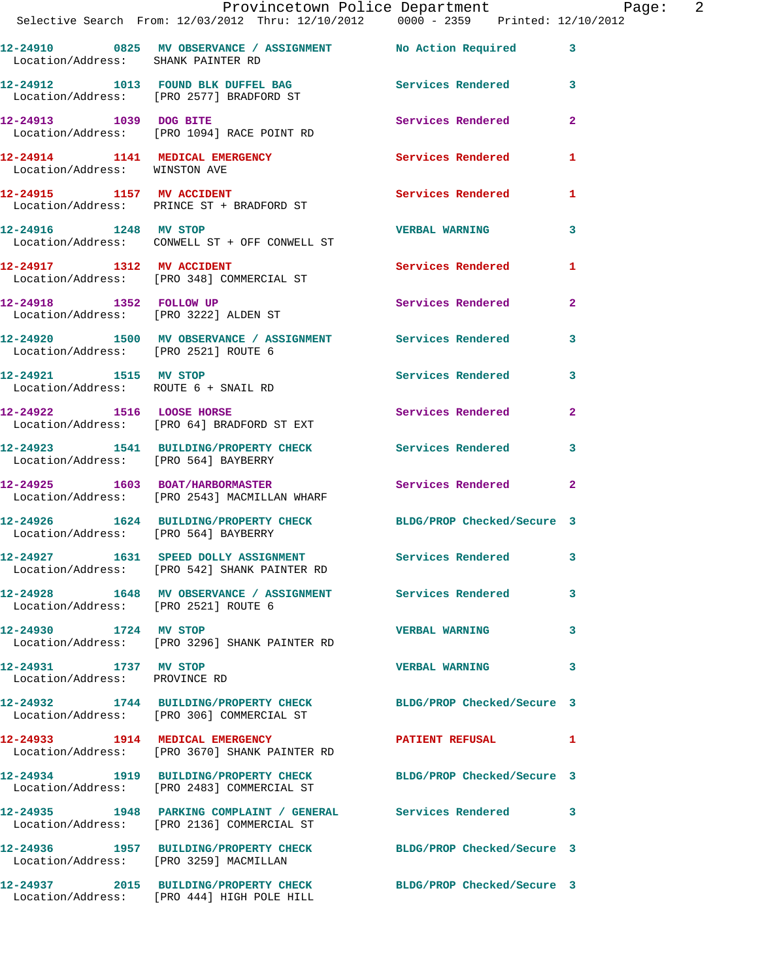|                                                        | Provincetown Police Department Page: 2                                                                         |                       |              |
|--------------------------------------------------------|----------------------------------------------------------------------------------------------------------------|-----------------------|--------------|
|                                                        | Selective Search From: 12/03/2012 Thru: 12/10/2012  0000 - 2359  Printed: 12/10/2012                           |                       |              |
|                                                        | 12-24910 0825 MV OBSERVANCE / ASSIGNMENT No Action Required 3<br>Location/Address: SHANK PAINTER RD            |                       |              |
|                                                        | 12-24912 1013 FOUND BLK DUFFEL BAG Services Rendered 3<br>Location/Address: [PRO 2577] BRADFORD ST             |                       |              |
|                                                        | 12-24913 1039 DOG BITE<br>Location/Address: [PRO 1094] RACE POINT RD                                           | Services Rendered 2   |              |
| Location/Address: WINSTON AVE                          | 12-24914 1141 MEDICAL EMERGENCY Services Rendered 1                                                            |                       |              |
|                                                        | 12-24915 1157 MV ACCIDENT<br>Location/Address: PRINCE ST + BRADFORD ST                                         | Services Rendered 1   |              |
| 12-24916 1248 MV STOP                                  | Location/Address: CONWELL ST + OFF CONWELL ST                                                                  | VERBAL WARNING 3      |              |
|                                                        | 12-24917 1312 MV ACCIDENT<br>Location/Address: [PRO 348] COMMERCIAL ST                                         | Services Rendered 1   |              |
|                                                        | 12-24918 1352 FOLLOW UP<br>Location/Address: [PRO 3222] ALDEN ST                                               | Services Rendered     | $\mathbf{2}$ |
| Location/Address: [PRO 2521] ROUTE 6                   | 12-24920 1500 MV OBSERVANCE / ASSIGNMENT Services Rendered 3                                                   |                       |              |
| Location/Address: ROUTE 6 + SNAIL RD                   | 12-24921 1515 MV STOP                                                                                          | Services Rendered 3   |              |
|                                                        | 12-24922 1516 LOOSE HORSE<br>Location/Address: [PRO 64] BRADFORD ST EXT                                        | Services Rendered 2   |              |
|                                                        | 12-24923 1541 BUILDING/PROPERTY CHECK Services Rendered<br>Location/Address: [PRO 564] BAYBERRY                |                       | 3            |
|                                                        | 12-24925 1603 BOAT/HARBORMASTER Services Rendered 2<br>Location/Address: [PRO 2543] MACMILLAN WHARF            |                       |              |
| Location/Address: [PRO 564] BAYBERRY                   | 12-24926 1624 BUILDING/PROPERTY CHECK BLDG/PROP Checked/Secure 3                                               |                       |              |
|                                                        | 12-24927 1631 SPEED DOLLY ASSIGNMENT<br>Location/Address: [PRO 542] SHANK PAINTER RD                           | Services Rendered     | $\mathbf{3}$ |
| Location/Address: [PRO 2521] ROUTE 6                   | 12-24928 1648 MV OBSERVANCE / ASSIGNMENT Services Rendered 3                                                   |                       |              |
| 12-24930 1724 MV STOP                                  | Location/Address: [PRO 3296] SHANK PAINTER RD                                                                  | <b>VERBAL WARNING</b> | 3            |
| 12-24931 1737 MV STOP<br>Location/Address: PROVINCE RD |                                                                                                                | <b>VERBAL WARNING</b> | 3            |
|                                                        | 12-24932 1744 BUILDING/PROPERTY CHECK BLDG/PROP Checked/Secure 3<br>Location/Address: [PRO 306] COMMERCIAL ST  |                       |              |
|                                                        | 12-24933 1914 MEDICAL EMERGENCY<br>Location/Address: [PRO 3670] SHANK PAINTER RD                               | PATIENT REFUSAL 1     |              |
|                                                        | 12-24934 1919 BUILDING/PROPERTY CHECK BLDG/PROP Checked/Secure 3<br>Location/Address: [PRO 2483] COMMERCIAL ST |                       |              |
|                                                        | 12-24935 1948 PARKING COMPLAINT / GENERAL Services Rendered 3<br>Location/Address: [PRO 2136] COMMERCIAL ST    |                       |              |
|                                                        | 12-24936 1957 BUILDING/PROPERTY CHECK BLDG/PROP Checked/Secure 3<br>Location/Address: [PRO 3259] MACMILLAN     |                       |              |
|                                                        | 12-24937 2015 BUILDING/PROPERTY CHECK BLDG/PROP Checked/Secure 3<br>Location/Address: [PRO 444] HIGH POLE HILL |                       |              |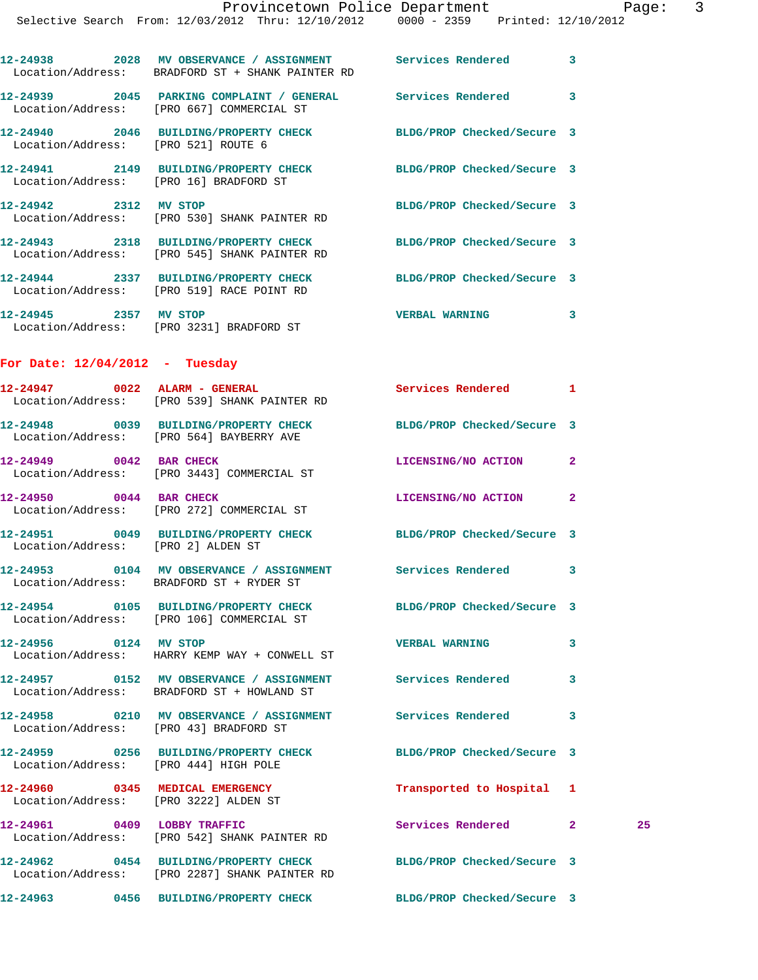**12-24938 2028 MV OBSERVANCE / ASSIGNMENT Services Rendered 3** 

|                                                                          | Location/Address: BRADFORD ST + SHANK PAINTER RD                                                                 |                            |              |    |
|--------------------------------------------------------------------------|------------------------------------------------------------------------------------------------------------------|----------------------------|--------------|----|
|                                                                          | 12-24939 2045 PARKING COMPLAINT / GENERAL Services Rendered 3<br>Location/Address: [PRO 667] COMMERCIAL ST       |                            |              |    |
| Location/Address: [PRO 521] ROUTE 6                                      | 12-24940 2046 BUILDING/PROPERTY CHECK BLDG/PROP Checked/Secure 3                                                 |                            |              |    |
| Location/Address: [PRO 16] BRADFORD ST                                   | 12-24941 2149 BUILDING/PROPERTY CHECK BLDG/PROP Checked/Secure 3                                                 |                            |              |    |
|                                                                          | 12-24942 2312 MV STOP<br>Location/Address: [PRO 530] SHANK PAINTER RD                                            | BLDG/PROP Checked/Secure 3 |              |    |
|                                                                          | 12-24943 2318 BUILDING/PROPERTY CHECK BLDG/PROP Checked/Secure 3<br>Location/Address: [PRO 545] SHANK PAINTER RD |                            |              |    |
|                                                                          | 12-24944 2337 BUILDING/PROPERTY CHECK BLDG/PROP Checked/Secure 3<br>Location/Address: [PRO 519] RACE POINT RD    |                            |              |    |
| 12-24945 2357 MV STOP                                                    | Location/Address: [PRO 3231] BRADFORD ST                                                                         | VERBAL WARNING 3           |              |    |
| For Date: $12/04/2012$ - Tuesday                                         |                                                                                                                  |                            |              |    |
|                                                                          | $12-24947$ 0022 ALARM - GENERAL<br>Location/Address: [PRO 539] SHANK PAINTER RD                                  | Services Rendered 1        |              |    |
|                                                                          | 12-24948 0039 BUILDING/PROPERTY CHECK BLDG/PROP Checked/Secure 3<br>Location/Address: [PRO 564] BAYBERRY AVE     |                            |              |    |
| 12-24949 0042 BAR CHECK                                                  | Location/Address: [PRO 3443] COMMERCIAL ST                                                                       | LICENSING/NO ACTION        | 2            |    |
| 12-24950 0044 BAR CHECK                                                  | Location/Address: [PRO 272] COMMERCIAL ST                                                                        | LICENSING/NO ACTION        | $\mathbf{2}$ |    |
| Location/Address: [PRO 2] ALDEN ST                                       | 12-24951 0049 BUILDING/PROPERTY CHECK                                                                            | BLDG/PROP Checked/Secure 3 |              |    |
|                                                                          | 12-24953 0104 MV OBSERVANCE / ASSIGNMENT Services Rendered 3<br>Location/Address: BRADFORD ST + RYDER ST         |                            |              |    |
|                                                                          | 12-24954 0105 BUILDING/PROPERTY CHECK BLDG/PROP Checked/Secure 3<br>Location/Address: [PRO 106] COMMERCIAL ST    |                            |              |    |
| 12-24956 0124 MV STOP                                                    | Location/Address: HARRY KEMP WAY + CONWELL ST                                                                    | <b>VERBAL WARNING</b>      | 3            |    |
|                                                                          | 12-24957 0152 MV OBSERVANCE / ASSIGNMENT Services Rendered<br>Location/Address: BRADFORD ST + HOWLAND ST         |                            | 3            |    |
| Location/Address: [PRO 43] BRADFORD ST                                   | 12-24958 0210 MV OBSERVANCE / ASSIGNMENT Services Rendered                                                       |                            | 3            |    |
| Location/Address: [PRO 444] HIGH POLE                                    | 12-24959 0256 BUILDING/PROPERTY CHECK                                                                            | BLDG/PROP Checked/Secure 3 |              |    |
| 12-24960 0345 MEDICAL EMERGENCY<br>Location/Address: [PRO 3222] ALDEN ST |                                                                                                                  | Transported to Hospital 1  |              |    |
| 12-24961 0409 LOBBY TRAFFIC                                              | Location/Address: [PRO 542] SHANK PAINTER RD                                                                     | Services Rendered 2        |              | 25 |
|                                                                          | 12-24962 0454 BUILDING/PROPERTY CHECK<br>Location/Address: [PRO 2287] SHANK PAINTER RD                           | BLDG/PROP Checked/Secure 3 |              |    |
|                                                                          | 12-24963 0456 BUILDING/PROPERTY CHECK BLDG/PROP Checked/Secure 3                                                 |                            |              |    |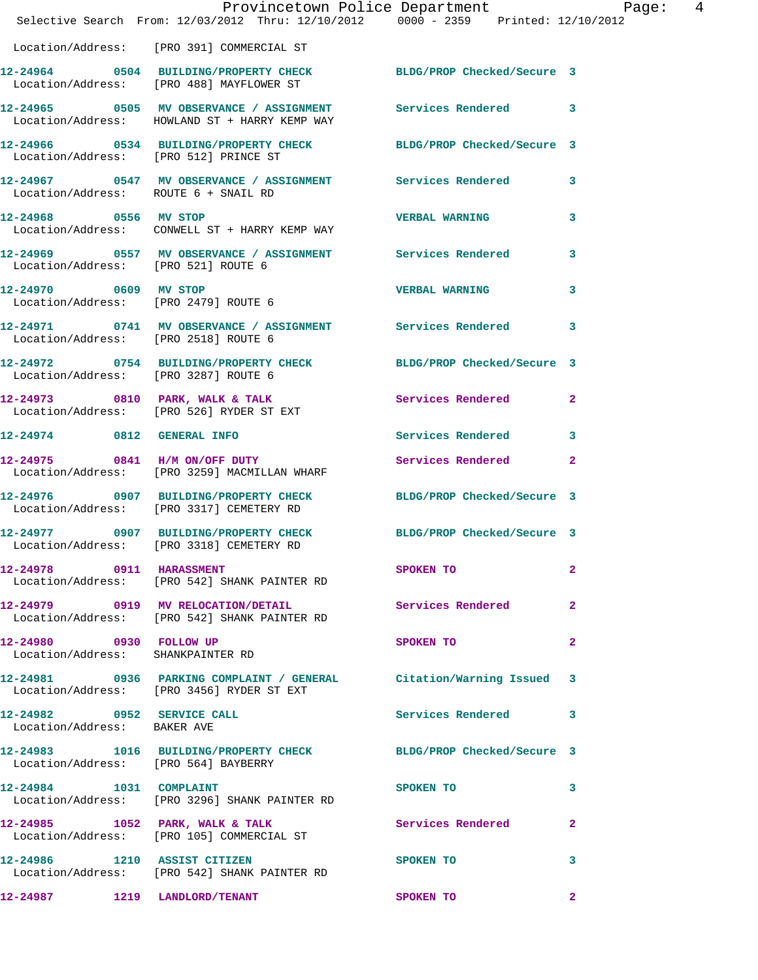|                                                                                                                  |  |  | Provincetown Police Department Page: 4                                                                                                                                                                                        |                |  |
|------------------------------------------------------------------------------------------------------------------|--|--|-------------------------------------------------------------------------------------------------------------------------------------------------------------------------------------------------------------------------------|----------------|--|
| Selective Search From: 12/03/2012 Thru: 12/10/2012  0000 - 2359  Printed: 12/10/2012                             |  |  |                                                                                                                                                                                                                               |                |  |
| Location/Address: [PRO 391] COMMERCIAL ST                                                                        |  |  |                                                                                                                                                                                                                               |                |  |
| 12-24964 0504 BUILDING/PROPERTY CHECK BLDG/PROP Checked/Secure 3<br>Location/Address: [PRO 488] MAYFLOWER ST     |  |  |                                                                                                                                                                                                                               |                |  |
| 12-24965 0505 MV OBSERVANCE / ASSIGNMENT Services Rendered 3<br>Location/Address: HOWLAND ST + HARRY KEMP WAY    |  |  |                                                                                                                                                                                                                               |                |  |
| 12-24966 0534 BUILDING/PROPERTY CHECK BLDG/PROP Checked/Secure 3<br>Location/Address: [PRO 512] PRINCE ST        |  |  |                                                                                                                                                                                                                               |                |  |
| 12-24967 0547 MV OBSERVANCE / ASSIGNMENT Services Rendered 3<br>Location/Address: ROUTE 6 + SNAIL RD             |  |  |                                                                                                                                                                                                                               |                |  |
| 12-24968 0556 MV STOP<br>Location/Address: CONWELL ST + HARRY KEMP WAY                                           |  |  | <b>VERBAL WARNING</b>                                                                                                                                                                                                         | 3              |  |
| 12-24969 0557 MV OBSERVANCE / ASSIGNMENT Services Rendered 3<br>Location/Address: [PRO 521] ROUTE 6              |  |  |                                                                                                                                                                                                                               |                |  |
| 12-24970 0609 MV STOP<br>Location/Address: [PRO 2479] ROUTE 6                                                    |  |  | <b>VERBAL WARNING</b>                                                                                                                                                                                                         | 3              |  |
| 12-24971 0741 MV OBSERVANCE / ASSIGNMENT Services Rendered 3<br>Location/Address: [PRO 2518] ROUTE 6             |  |  |                                                                                                                                                                                                                               |                |  |
| 12-24972 0754 BUILDING/PROPERTY CHECK BLDG/PROP Checked/Secure 3<br>Location/Address: [PRO 3287] ROUTE 6         |  |  |                                                                                                                                                                                                                               |                |  |
| 12-24973 0810 PARK, WALK & TALK 3 Services Rendered 2<br>Location/Address: [PRO 526] RYDER ST EXT                |  |  |                                                                                                                                                                                                                               |                |  |
| 12-24974 0812 GENERAL INFO                                                                                       |  |  | <b>Services Rendered</b>                                                                                                                                                                                                      | 3              |  |
| 12-24975 0841 H/M ON/OFF DUTY<br>Location/Address: [PRO 3259] MACMILLAN WHARF                                    |  |  | Services Rendered 2                                                                                                                                                                                                           |                |  |
| 12-24976 0907 BUILDING/PROPERTY CHECK BLDG/PROP Checked/Secure 3<br>Location/Address: [PRO 3317] CEMETERY RD     |  |  |                                                                                                                                                                                                                               |                |  |
| 12-24977 0907 BUILDING/PROPERTY CHECK BLDG/PROP Checked/Secure 3<br>Location/Address: [PRO 3318] CEMETERY RD     |  |  |                                                                                                                                                                                                                               |                |  |
| 12-24978 0911 HARASSMENT<br>Location/Address: [PRO 542] SHANK PAINTER RD                                         |  |  | SPOKEN TO THE STATE OF THE STATE OF THE STATE OF THE STATE OF THE STATE OF THE STATE OF THE STATE OF THE STATE OF THE STATE OF THE STATE OF THE STATE OF THE STATE OF THE STATE OF THE STATE OF THE STATE OF THE STATE OF THE | 2              |  |
| 12-24979 0919 MV RELOCATION/DETAIL Services Rendered<br>Location/Address: [PRO 542] SHANK PAINTER RD             |  |  |                                                                                                                                                                                                                               | $\mathbf{2}$   |  |
| 12-24980 0930 FOLLOW UP<br>Location/Address: SHANKPAINTER RD                                                     |  |  | SPOKEN TO AND THE SPOKEN TO                                                                                                                                                                                                   | $\overline{2}$ |  |
| 12-24981 0936 PARKING COMPLAINT / GENERAL Citation/Warning Issued 3<br>Location/Address: [PRO 3456] RYDER ST EXT |  |  |                                                                                                                                                                                                                               |                |  |
| 12-24982 0952 SERVICE CALL<br>Location/Address: BAKER AVE                                                        |  |  | Services Rendered 3                                                                                                                                                                                                           |                |  |
| 12-24983 1016 BUILDING/PROPERTY CHECK BLDG/PROP Checked/Secure 3<br>Location/Address: [PRO 564] BAYBERRY         |  |  |                                                                                                                                                                                                                               |                |  |
| 12-24984 1031 COMPLAINT<br>Location/Address: [PRO 3296] SHANK PAINTER RD                                         |  |  | SPOKEN TO                                                                                                                                                                                                                     | 3              |  |
| 12-24985 1052 PARK, WALK & TALK<br>Location/Address: [PRO 105] COMMERCIAL ST                                     |  |  | Services Rendered 2                                                                                                                                                                                                           |                |  |
| 12-24986 1210 ASSIST CITIZEN<br>Location/Address: [PRO 542] SHANK PAINTER RD                                     |  |  | <b>SPOKEN TO</b>                                                                                                                                                                                                              | 3              |  |
| 12-24987 1219 LANDLORD/TENANT                                                                                    |  |  | SPOKEN TO                                                                                                                                                                                                                     | $\mathbf{2}$   |  |
|                                                                                                                  |  |  |                                                                                                                                                                                                                               |                |  |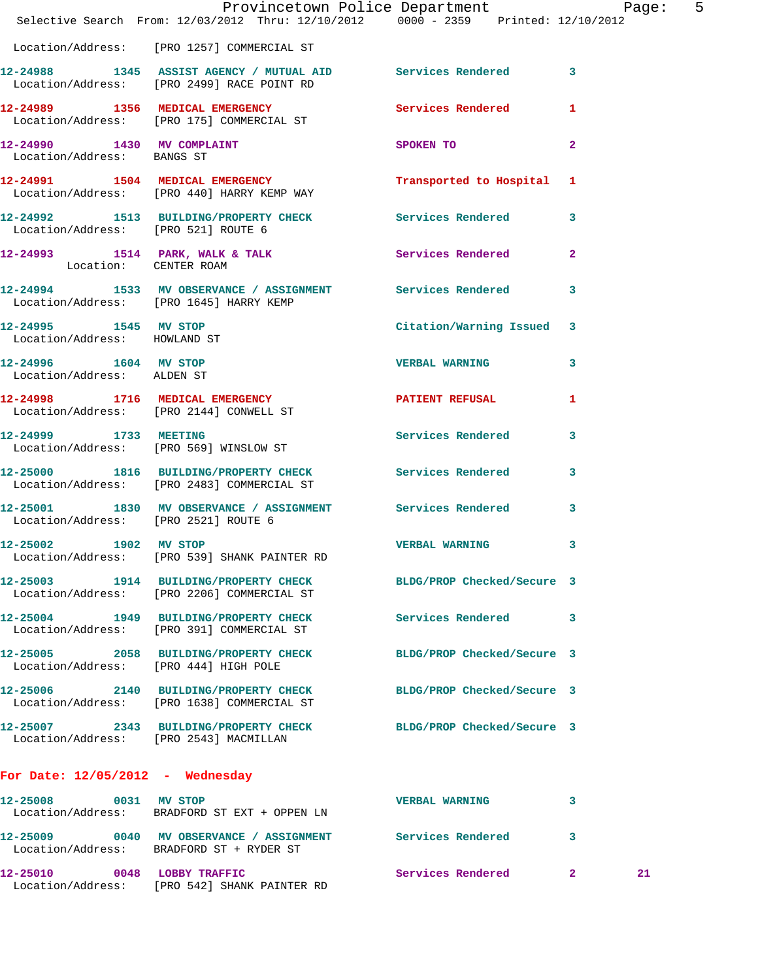|                                                       | Provincetown Police Department Page: 5<br>Selective Search From: 12/03/2012 Thru: 12/10/2012 0000 - 2359 Printed: 12/10/2012 |                            |                      |  |
|-------------------------------------------------------|------------------------------------------------------------------------------------------------------------------------------|----------------------------|----------------------|--|
|                                                       | Location/Address: [PRO 1257] COMMERCIAL ST                                                                                   |                            |                      |  |
|                                                       | 12-24988 1345 ASSIST AGENCY / MUTUAL AID Services Rendered 3<br>Location/Address: [PRO 2499] RACE POINT RD                   |                            |                      |  |
|                                                       | 12-24989 1356 MEDICAL EMERGENCY Services Rendered 1<br>Location/Address: [PRO 175] COMMERCIAL ST                             |                            |                      |  |
| Location/Address: BANGS ST                            | 12-24990 1430 MV COMPLAINT                                                                                                   | SPOKEN TO                  | $\overline{2}$       |  |
|                                                       | 12-24991 1504 MEDICAL EMERGENCY Transported to Hospital 1<br>Location/Address: [PRO 440] HARRY KEMP WAY                      |                            |                      |  |
|                                                       | 12-24992 1513 BUILDING/PROPERTY CHECK Services Rendered 3<br>Location/Address: [PRO 521] ROUTE 6                             |                            |                      |  |
|                                                       | 12-24993 1514 PARK, WALK & TALK Services Rendered 2<br>Location: CENTER ROAM                                                 |                            |                      |  |
| Location/Address: [PRO 1645] HARRY KEMP               | 12-24994 1533 MV OBSERVANCE / ASSIGNMENT Services Rendered                                                                   |                            | 3                    |  |
| 12-24995 1545 MV STOP<br>Location/Address: HOWLAND ST |                                                                                                                              | Citation/Warning Issued 3  |                      |  |
| 12-24996 1604 MV STOP<br>Location/Address: ALDEN ST   |                                                                                                                              | <b>VERBAL WARNING</b>      | 3                    |  |
|                                                       | 12-24998 1716 MEDICAL EMERGENCY<br>Location/Address: [PRO 2144] CONWELL ST                                                   | PATIENT REFUSAL 1          |                      |  |
|                                                       | 12-24999 1733 MEETING<br>Location/Address: [PRO 569] WINSLOW ST                                                              | <b>Services Rendered</b>   | 3                    |  |
|                                                       | 12-25000 1816 BUILDING/PROPERTY CHECK Services Rendered 3<br>Location/Address: [PRO 2483] COMMERCIAL ST                      |                            |                      |  |
| Location/Address: [PRO 2521] ROUTE 6                  | 12-25001 1830 MV OBSERVANCE / ASSIGNMENT Services Rendered                                                                   |                            | 3                    |  |
| 12-25002 1902 MV STOP                                 | Location/Address: [PRO 539] SHANK PAINTER RD                                                                                 | <b>VERBAL WARNING</b> 3    |                      |  |
|                                                       | 12-25003 1914 BUILDING/PROPERTY CHECK BLDG/PROP Checked/Secure 3<br>Location/Address: [PRO 2206] COMMERCIAL ST               |                            |                      |  |
|                                                       | 12-25004 1949 BUILDING/PROPERTY CHECK<br>Location/Address: [PRO 391] COMMERCIAL ST                                           | Services Rendered 3        |                      |  |
| Location/Address: [PRO 444] HIGH POLE                 | 12-25005 2058 BUILDING/PROPERTY CHECK BLDG/PROP Checked/Secure 3                                                             |                            |                      |  |
|                                                       | 12-25006 2140 BUILDING/PROPERTY CHECK<br>Location/Address: [PRO 1638] COMMERCIAL ST                                          | BLDG/PROP Checked/Secure 3 |                      |  |
| Location/Address: [PRO 2543] MACMILLAN                | 12-25007 2343 BUILDING/PROPERTY CHECK BLDG/PROP Checked/Secure 3                                                             |                            |                      |  |
| For Date: $12/05/2012$ - Wednesday                    |                                                                                                                              |                            |                      |  |
| 12-25008 0031 MV STOP                                 | Location/Address: BRADFORD ST EXT + OPPEN LN                                                                                 | <b>VERBAL WARNING</b>      | 3                    |  |
|                                                       | 12-25009 0040 MV OBSERVANCE / ASSIGNMENT Services Rendered 3<br>Location/Address: BRADFORD ST + RYDER ST                     |                            |                      |  |
|                                                       | 12-25010 0048 LOBBY TRAFFIC<br>Location/Address: [PRO 542] SHANK PAINTER RD                                                  | <b>Services Rendered</b>   | 21<br>$\mathbf{2}^-$ |  |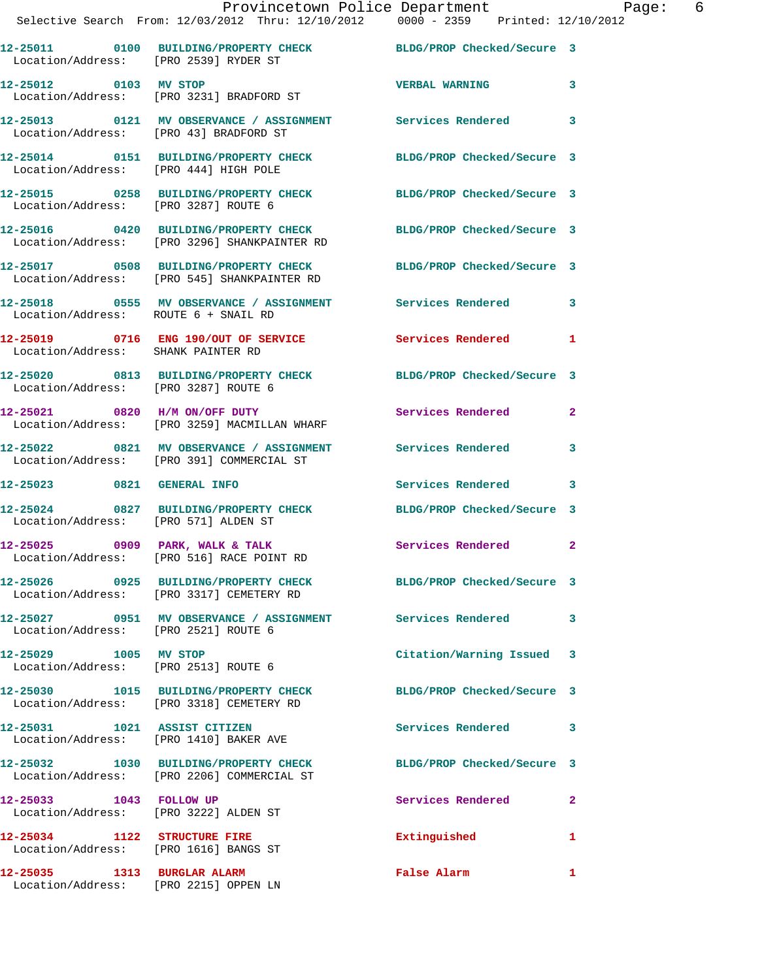|                                    | Provincetown Police Department<br>Selective Search From: 12/03/2012 Thru: 12/10/2012 0000 - 2359 Printed: 12/10/2012 |                  | 6 |
|------------------------------------|----------------------------------------------------------------------------------------------------------------------|------------------|---|
|                                    | 12-25011 0100 BUILDING/PROPERTY CHECK BLDG/PROP Checked/Secure 3<br>Location/Address: [PRO 2539] RYDER ST            |                  |   |
| 12-25012 0103 MV STOP              | Location/Address: [PRO 3231] BRADFORD ST                                                                             | VERBAL WARNING 3 |   |
|                                    | 12-25013 0121 MV OBSERVANCE / ASSIGNMENT Services Rendered 3<br>Location/Address: [PRO 43] BRADFORD ST               |                  |   |
|                                    | 12-25014 0151 BUILDING/PROPERTY CHECK BLDG/PROP Checked/Secure 3<br>Location/Address: [PRO 444] HIGH POLE            |                  |   |
|                                    | 12-25015 0258 BUILDING/PROPERTY CHECK BLDG/PROP Checked/Secure 3<br>Location/Address: [PRO 3287] ROUTE 6             |                  |   |
|                                    | 12-25016 0420 BUILDING/PROPERTY CHECK BLDG/PROP Checked/Secure 3<br>Location/Address: [PRO 3296] SHANKPAINTER RD     |                  |   |
|                                    | 12-25017 0508 BUILDING/PROPERTY CHECK BLDG/PROP Checked/Secure 3<br>Location/Address: [PRO 545] SHANKPAINTER RD      |                  |   |
|                                    | 12-25018 0555 MV OBSERVANCE / ASSIGNMENT Services Rendered 3<br>Location/Address: ROUTE 6 + SNAIL RD                 |                  |   |
| Location/Address: SHANK PAINTER RD | 12-25019 0716 ENG 190/OUT OF SERVICE Services Rendered 1                                                             |                  |   |
|                                    | 12-25020 0813 BUILDING/PROPERTY CHECK BLDG/PROP Checked/Secure 3<br>Location/Address: [PRO 3287] ROUTE 6             |                  |   |
|                                    | 12-25021 0820 H/M ON/OFF DUTY Services Rendered 2<br>Location/Address: [PRO 3259] MACMILLAN WHARF                    |                  |   |
|                                    | 12-25022 0821 MV OBSERVANCE / ASSIGNMENT Services Rendered 3<br>Location/Address: [PRO 391] COMMERCIAL ST            |                  |   |
|                                    | 12-25023 0821 GENERAL INFO Services Rendered 3                                                                       |                  |   |
|                                    | 12-25024 0827 BUILDING/PROPERTY CHECK BLDG/PROP Checked/Secure 3<br>Location/Address: [PRO 571] ALDEN ST             |                  |   |
|                                    | 12-25025 0909 PARK, WALK & TALK Services Rendered 2<br>Location/Address: [PRO 516] RACE POINT RD                     |                  |   |
|                                    |                                                                                                                      |                  |   |

**12-25026 0925 BUILDING/PROPERTY CHECK BLDG/PROP Checked/Secure 3**  Location/Address: [PRO 3317] CEMETERY RD

**12-25027 0951 MV OBSERVANCE / ASSIGNMENT Services Rendered 3**  Location/Address: [PRO 2521] ROUTE 6

**12-25029 1005 MV STOP Citation/Warning Issued 3**  Location/Address: [PRO 2513] ROUTE 6

**12-25030 1015 BUILDING/PROPERTY CHECK BLDG/PROP Checked/Secure 3**  Location/Address: [PRO 3318] CEMETERY RD

**12-25031 1021 ASSIST CITIZEN Services Rendered 3** 

**12-25033 1043 FOLLOW UP Services Rendered 2** 

**12-25034 1122 STRUCTURE FIRE Extinguished 1** 

Location/Address: [PRO 1616] BANGS ST

**12-25035 1313 BURGLAR ALARM False Alarm 1**  Location/Address: [PRO 2215] OPPEN LN

Location/Address: [PRO 1410] BAKER AVE

**12-25032 1030 BUILDING/PROPERTY CHECK BLDG/PROP Checked/Secure 3**  Location/Address: [PRO 2206] COMMERCIAL ST

Location/Address: [PRO 3222] ALDEN ST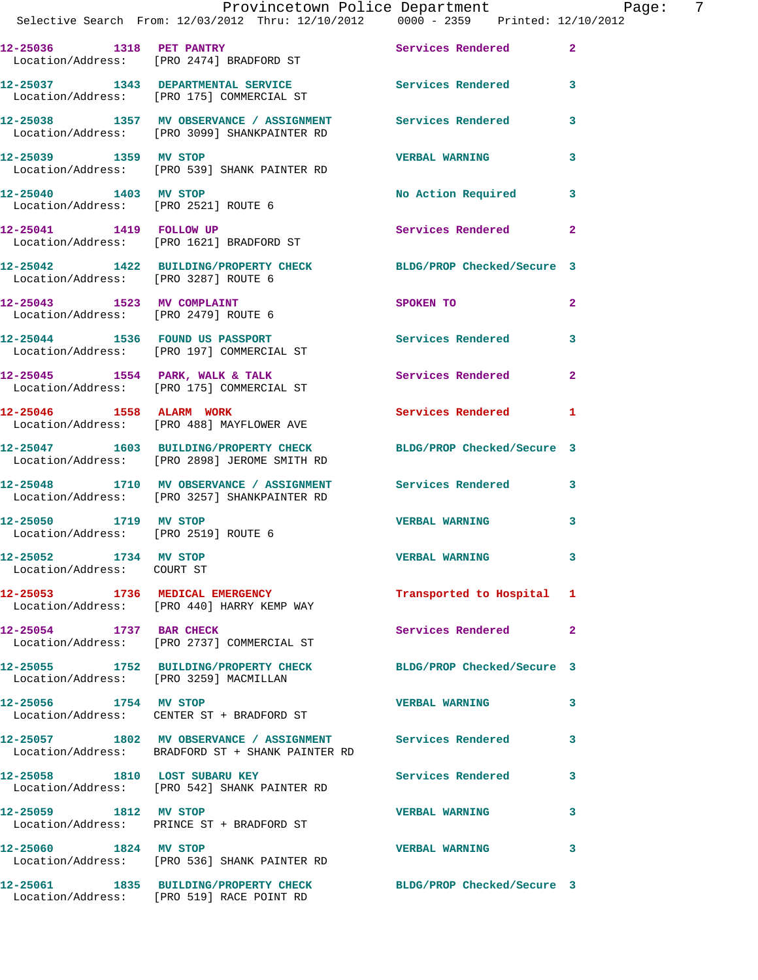|                                                     | Provincetown Police Department Page: 7<br>Selective Search From: 12/03/2012 Thru: 12/10/2012 0000 - 2359 Printed: 12/10/2012 |                           |                |  |
|-----------------------------------------------------|------------------------------------------------------------------------------------------------------------------------------|---------------------------|----------------|--|
|                                                     | 12-25036 1318 PET PANTRY<br>Location/Address: [PRO 2474] BRADFORD ST                                                         | Services Rendered 2       |                |  |
|                                                     | 12-25037 1343 DEPARTMENTAL SERVICE Services Rendered 3<br>Location/Address: [PRO 175] COMMERCIAL ST                          |                           |                |  |
|                                                     | 12-25038 1357 MV OBSERVANCE / ASSIGNMENT Services Rendered<br>Location/Address: [PRO 3099] SHANKPAINTER RD                   |                           | $\mathbf{3}$   |  |
|                                                     | 12-25039 1359 MV STOP<br>Location/Address: [PRO 539] SHANK PAINTER RD                                                        | <b>VERBAL WARNING</b>     | 3              |  |
|                                                     | 12-25040 1403 MV STOP<br>Location/Address: [PRO 2521] ROUTE 6                                                                | No Action Required 3      |                |  |
|                                                     | 12-25041 1419 FOLLOW UP<br>Location/Address: [PRO 1621] BRADFORD ST                                                          | <b>Services Rendered</b>  | $\mathbf{2}$   |  |
|                                                     | 12-25042 1422 BUILDING/PROPERTY CHECK BLDG/PROP Checked/Secure 3<br>Location/Address: [PRO 3287] ROUTE 6                     |                           |                |  |
|                                                     | 12-25043 1523 MV COMPLAINT<br>Location/Address: [PRO 2479] ROUTE 6                                                           | <b>SPOKEN TO</b>          | $\overline{2}$ |  |
|                                                     | 12-25044 1536 FOUND US PASSPORT<br>Location/Address: [PRO 197] COMMERCIAL ST                                                 | Services Rendered 3       |                |  |
|                                                     | 12-25045 1554 PARK, WALK & TALK Services Rendered<br>Location/Address: [PRO 175] COMMERCIAL ST                               |                           | $\mathbf{2}$   |  |
| 12-25046 1558 ALARM WORK                            | Location/Address: [PRO 488] MAYFLOWER AVE                                                                                    | Services Rendered 1       |                |  |
|                                                     | 12-25047 1603 BUILDING/PROPERTY CHECK BLDG/PROP Checked/Secure 3<br>Location/Address: [PRO 2898] JEROME SMITH RD             |                           |                |  |
|                                                     | 12-25048 1710 MV OBSERVANCE / ASSIGNMENT Services Rendered 3<br>Location/Address: [PRO 3257] SHANKPAINTER RD                 |                           |                |  |
|                                                     | 12-25050             1719    MV STOP<br>Location/Address:     [PRO 2519] ROUTE 6                                             | <b>VERBAL WARNING</b>     | 3              |  |
| 12-25052 1734 MV STOP<br>Location/Address: COURT ST |                                                                                                                              | <b>VERBAL WARNING</b>     |                |  |
|                                                     | 12-25053 1736 MEDICAL EMERGENCY<br>Location/Address: [PRO 440] HARRY KEMP WAY                                                | Transported to Hospital 1 |                |  |
| 12-25054 1737 BAR CHECK                             | Location/Address: [PRO 2737] COMMERCIAL ST                                                                                   | Services Rendered         | $\mathbf{2}$   |  |
|                                                     | 12-25055 1752 BUILDING/PROPERTY CHECK BLDG/PROP Checked/Secure 3<br>Location/Address: [PRO 3259] MACMILLAN                   |                           |                |  |
| 12-25056 1754 MV STOP                               | Location/Address: CENTER ST + BRADFORD ST                                                                                    | <b>VERBAL WARNING</b>     | 3              |  |
|                                                     | 12-25057 1802 MV OBSERVANCE / ASSIGNMENT Services Rendered<br>Location/Address: BRADFORD ST + SHANK PAINTER RD               |                           | 3              |  |
|                                                     | 12-25058 1810 LOST SUBARU KEY<br>Location/Address: [PRO 542] SHANK PAINTER RD                                                | <b>Services Rendered</b>  | 3              |  |
|                                                     | 12-25059 1812 MV STOP<br>Location/Address: PRINCE ST + BRADFORD ST                                                           | <b>VERBAL WARNING</b>     | 3              |  |
| 12-25060 1824 MV STOP                               | Location/Address: [PRO 536] SHANK PAINTER RD                                                                                 | <b>VERBAL WARNING</b>     | 3              |  |
|                                                     | 12-25061 1835 BUILDING/PROPERTY CHECK BLDG/PROP Checked/Secure 3                                                             |                           |                |  |

Location/Address: [PRO 519] RACE POINT RD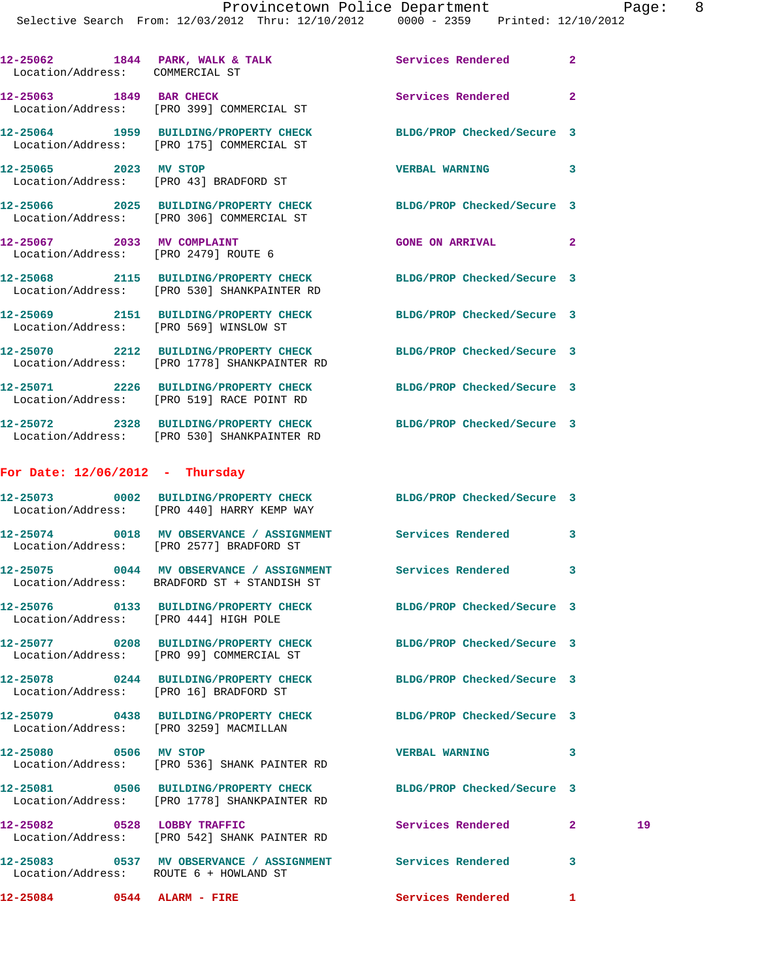|                                   | 12-25062 1844 PARK, WALK & TALK Services Rendered<br>Location/Address: COMMERCIAL ST                             |                            | $\mathbf{2}$ |    |
|-----------------------------------|------------------------------------------------------------------------------------------------------------------|----------------------------|--------------|----|
|                                   | 12-25063 1849 BAR CHECK<br>Location/Address: [PRO 399] COMMERCIAL ST                                             | Services Rendered          | $\mathbf{2}$ |    |
|                                   | 12-25064 1959 BUILDING/PROPERTY CHECK BLDG/PROP Checked/Secure 3<br>Location/Address: [PRO 175] COMMERCIAL ST    |                            |              |    |
|                                   | 12-25065 2023 MV STOP<br>Location/Address: [PRO 43] BRADFORD ST                                                  | <b>VERBAL WARNING</b>      | 3            |    |
|                                   | 12-25066 2025 BUILDING/PROPERTY CHECK BLDG/PROP Checked/Secure 3<br>Location/Address: [PRO 306] COMMERCIAL ST    |                            |              |    |
|                                   | 12-25067 2033 MV COMPLAINT<br>Location/Address: [PRO 2479] ROUTE 6                                               | <b>GONE ON ARRIVAL</b>     | -2           |    |
|                                   | 12-25068 2115 BUILDING/PROPERTY CHECK BLDG/PROP Checked/Secure 3<br>Location/Address: [PRO 530] SHANKPAINTER RD  |                            |              |    |
|                                   | 12-25069 2151 BUILDING/PROPERTY CHECK BLDG/PROP Checked/Secure 3<br>Location/Address: [PRO 569] WINSLOW ST       |                            |              |    |
|                                   | 12-25070 2212 BUILDING/PROPERTY CHECK<br>Location/Address: [PRO 1778] SHANKPAINTER RD                            | BLDG/PROP Checked/Secure 3 |              |    |
|                                   | 12-25071 2226 BUILDING/PROPERTY CHECK BLDG/PROP Checked/Secure 3<br>Location/Address: [PRO 519] RACE POINT RD    |                            |              |    |
|                                   | 12-25072 2328 BUILDING/PROPERTY CHECK BLDG/PROP Checked/Secure 3<br>Location/Address: [PRO 530] SHANKPAINTER RD  |                            |              |    |
| For Date: $12/06/2012$ - Thursday |                                                                                                                  |                            |              |    |
|                                   | 12-25073 0002 BUILDING/PROPERTY CHECK BLDG/PROP Checked/Secure 3<br>Location/Address: [PRO 440] HARRY KEMP WAY   |                            |              |    |
|                                   | 12-25074 0018 MV OBSERVANCE / ASSIGNMENT Services Rendered 3<br>Location/Address: [PRO 2577] BRADFORD ST         |                            |              |    |
|                                   | 12-25075 0044 MV OBSERVANCE / ASSIGNMENT Services Rendered<br>Location/Address: BRADFORD ST + STANDISH ST        |                            | 3            |    |
|                                   | 12-25076 0133 BUILDING/PROPERTY CHECK<br>Location/Address: [PRO 444] HIGH POLE                                   | BLDG/PROP Checked/Secure 3 |              |    |
|                                   | 12-25077 0208 BUILDING/PROPERTY CHECK BLDG/PROP Checked/Secure 3<br>Location/Address: [PRO 99] COMMERCIAL ST     |                            |              |    |
|                                   | 12-25078 0244 BUILDING/PROPERTY CHECK BLDG/PROP Checked/Secure 3<br>Location/Address: [PRO 16] BRADFORD ST       |                            |              |    |
|                                   | 12-25079 0438 BUILDING/PROPERTY CHECK BLDG/PROP Checked/Secure 3<br>Location/Address: [PRO 3259] MACMILLAN       |                            |              |    |
| 12-25080 0506 MV STOP             | Location/Address: [PRO 536] SHANK PAINTER RD                                                                     | <b>VERBAL WARNING</b>      | 3            |    |
|                                   | 12-25081 0506 BUILDING/PROPERTY CHECK BLDG/PROP Checked/Secure 3<br>Location/Address: [PRO 1778] SHANKPAINTER RD |                            |              |    |
|                                   | 12-25082 0528 LOBBY TRAFFIC<br>Location/Address: [PRO 542] SHANK PAINTER RD                                      | Services Rendered          | $\mathbf{2}$ | 19 |
|                                   | 12-25083 0537 MV OBSERVANCE / ASSIGNMENT Services Rendered<br>Location/Address: ROUTE 6 + HOWLAND ST             |                            | 3            |    |
| 12-25084 0544 ALARM - FIRE        |                                                                                                                  | Services Rendered 1        |              |    |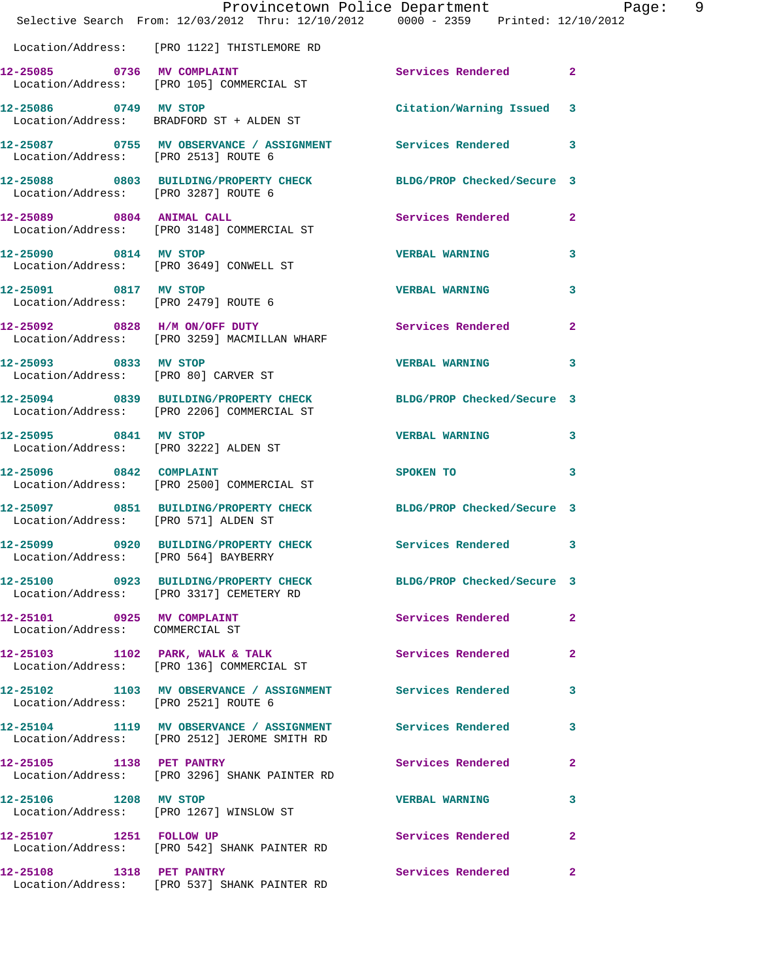|                                                                | Provincetown Police Department Page: 9<br>Selective Search From: 12/03/2012 Thru: 12/10/2012 0000 - 2359 Printed: 12/10/2012 |                                                                                                               |              |
|----------------------------------------------------------------|------------------------------------------------------------------------------------------------------------------------------|---------------------------------------------------------------------------------------------------------------|--------------|
|                                                                | Location/Address: [PRO 1122] THISTLEMORE RD                                                                                  |                                                                                                               |              |
|                                                                | 12-25085 0736 MV COMPLAINT<br>Location/Address: [PRO 105] COMMERCIAL ST                                                      | Services Rendered 2                                                                                           |              |
|                                                                | 12-25086 0749 MV STOP<br>Location/Address: BRADFORD ST + ALDEN ST                                                            | Citation/Warning Issued 3                                                                                     |              |
| Location/Address: [PRO 2513] ROUTE 6                           | 12-25087 0755 MV OBSERVANCE / ASSIGNMENT Services Rendered 3                                                                 |                                                                                                               |              |
| Location/Address: [PRO 3287] ROUTE 6                           | 12-25088 0803 BUILDING/PROPERTY CHECK BLDG/PROP Checked/Secure 3                                                             |                                                                                                               |              |
| 12-25089 0804 ANIMAL CALL                                      | Location/Address: [PRO 3148] COMMERCIAL ST                                                                                   | Services Rendered 2                                                                                           |              |
| 12-25090 0814 MV STOP                                          | Location/Address: [PRO 3649] CONWELL ST                                                                                      | <b>VERBAL WARNING</b>                                                                                         | 3            |
| 12-25091 0817 MV STOP<br>Location/Address: [PRO 2479] ROUTE 6  |                                                                                                                              | <b>VERBAL WARNING</b>                                                                                         | 3            |
|                                                                | 12-25092 0828 H/M ON/OFF DUTY<br>Location/Address: [PRO 3259] MACMILLAN WHARF                                                | Services Rendered                                                                                             | $\mathbf{2}$ |
| Location/Address: [PRO 80] CARVER ST                           | 12-25093 0833 MV STOP                                                                                                        | <b>VERBAL WARNING</b>                                                                                         | 3            |
|                                                                | 12-25094 0839 BUILDING/PROPERTY CHECK BLDG/PROP Checked/Secure 3<br>Location/Address: [PRO 2206] COMMERCIAL ST               |                                                                                                               |              |
| 12-25095 0841 MV STOP<br>Location/Address: [PRO 3222] ALDEN ST |                                                                                                                              | <b>VERBAL WARNING</b>                                                                                         | 3            |
| 12-25096 0842 COMPLAINT                                        | Location/Address: [PRO 2500] COMMERCIAL ST                                                                                   | SPOKEN TO AND TO A STATE OF THE STATE OF THE STATE OF THE STATE OF THE STATE OF THE STATE OF THE STATE OF THE | $\mathbf{3}$ |
| Location/Address: [PRO 571] ALDEN ST                           | 12-25097 0851 BUILDING/PROPERTY CHECK BLDG/PROP Checked/Secure 3                                                             |                                                                                                               |              |
| Location/Address: [PRO 564] BAYBERRY                           | 12-25099 0920 BUILDING/PROPERTY CHECK Services Rendered 3                                                                    |                                                                                                               |              |
|                                                                | 12-25100 0923 BUILDING/PROPERTY CHECK BLDG/PROP Checked/Secure 3<br>Location/Address: [PRO 3317] CEMETERY RD                 |                                                                                                               |              |
| 12-25101 0925 MV COMPLAINT<br>Location/Address: COMMERCIAL ST  |                                                                                                                              | <b>Services Rendered</b>                                                                                      | $\mathbf{2}$ |
|                                                                | 12-25103 1102 PARK, WALK & TALK<br>Location/Address: [PRO 136] COMMERCIAL ST                                                 | Services Rendered                                                                                             | $\mathbf{2}$ |
| Location/Address: [PRO 2521] ROUTE 6                           | 12-25102 1103 MV OBSERVANCE / ASSIGNMENT Services Rendered                                                                   |                                                                                                               | 3            |
|                                                                | 12-25104 1119 MV OBSERVANCE / ASSIGNMENT Services Rendered<br>Location/Address: [PRO 2512] JEROME SMITH RD                   |                                                                                                               | 3            |
| 12-25105 1138 PET PANTRY                                       | Location/Address: [PRO 3296] SHANK PAINTER RD                                                                                | Services Rendered 2                                                                                           |              |
| 12-25106 1208 MV STOP                                          | Location/Address: [PRO 1267] WINSLOW ST                                                                                      | <b>VERBAL WARNING</b>                                                                                         | 3            |
| 12-25107 1251 FOLLOW UP                                        | Location/Address: [PRO 542] SHANK PAINTER RD                                                                                 | Services Rendered                                                                                             | $\mathbf{2}$ |
|                                                                | 12-25108 1318 PET PANTRY<br>Location/Address: [PRO 537] SHANK PAINTER RD                                                     | Services Rendered                                                                                             | $\mathbf{2}$ |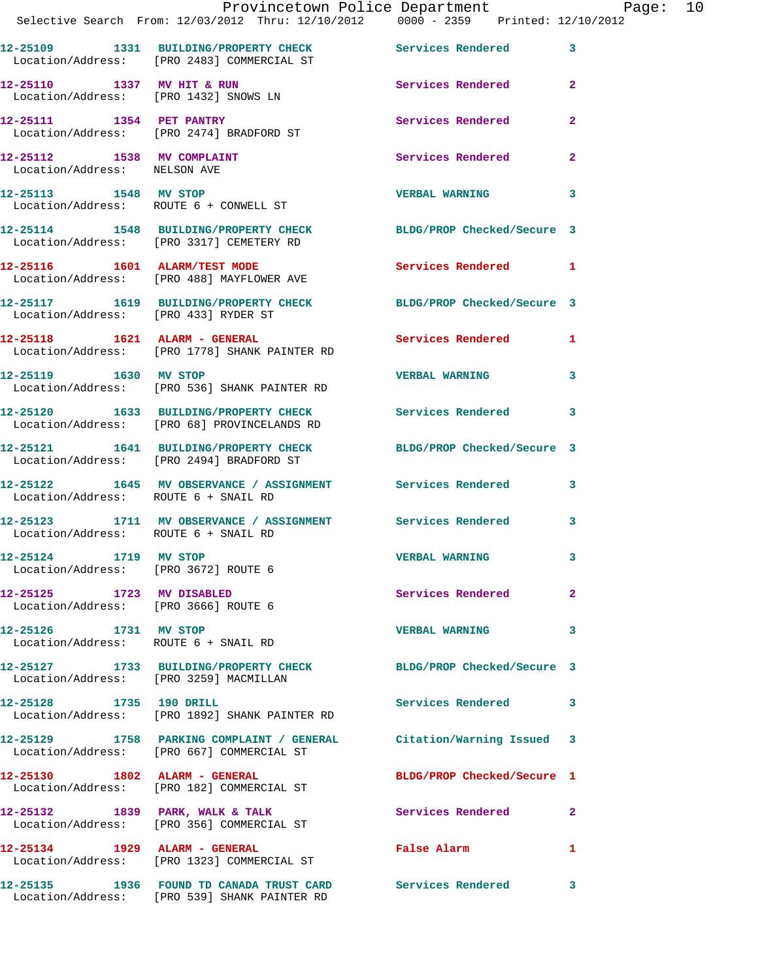|                                                                   | Provincetown Police Department Page: 10<br>Selective Search From: 12/03/2012 Thru: 12/10/2012  0000 - 2359  Printed: 12/10/2012 |                            |              |  |
|-------------------------------------------------------------------|---------------------------------------------------------------------------------------------------------------------------------|----------------------------|--------------|--|
|                                                                   | 12-25109 1331 BUILDING/PROPERTY CHECK Services Rendered 3                                                                       |                            |              |  |
|                                                                   | Location/Address: [PRO 2483] COMMERCIAL ST                                                                                      |                            |              |  |
|                                                                   | 12-25110 1337 MV HIT & RUN Services Rendered 2<br>Location/Address: [PRO 1432] SNOWS LN                                         |                            |              |  |
|                                                                   | 12-25111 1354 PET PANTRY<br>Location/Address: [PRO 2474] BRADFORD ST                                                            | Services Rendered          | $\mathbf{2}$ |  |
| 12-25112 1538 MV COMPLAINT<br>Location/Address: NELSON AVE        |                                                                                                                                 | Services Rendered          | $\mathbf{2}$ |  |
|                                                                   | 12-25113 1548 MV STOP<br>Location/Address: ROUTE 6 + CONWELL ST                                                                 | VERBAL WARNING 3           |              |  |
|                                                                   | 12-25114 1548 BUILDING/PROPERTY CHECK BLDG/PROP Checked/Secure 3<br>Location/Address: [PRO 3317] CEMETERY RD                    |                            |              |  |
|                                                                   | 12-25116 1601 ALARM/TEST MODE<br>Location/Address: [PRO 488] MAYFLOWER AVE                                                      | Services Rendered 1        |              |  |
| Location/Address: [PRO 433] RYDER ST                              | 12-25117 1619 BUILDING/PROPERTY CHECK BLDG/PROP Checked/Secure 3                                                                |                            |              |  |
|                                                                   | 12-25118 1621 ALARM - GENERAL Services Rendered 1<br>Location/Address: [PRO 1778] SHANK PAINTER RD                              |                            |              |  |
|                                                                   | 12-25119 1630 MV STOP<br>Location/Address: [PRO 536] SHANK PAINTER RD                                                           | VERBAL WARNING 3           |              |  |
|                                                                   | 12-25120 1633 BUILDING/PROPERTY CHECK Services Rendered 3<br>Location/Address: [PRO 68] PROVINCELANDS RD                        |                            |              |  |
|                                                                   | 12-25121 1641 BUILDING/PROPERTY CHECK BLDG/PROP Checked/Secure 3<br>Location/Address: [PRO 2494] BRADFORD ST                    |                            |              |  |
| Location/Address: ROUTE 6 + SNAIL RD                              | 12-25122 1645 MV OBSERVANCE / ASSIGNMENT Services Rendered 3                                                                    |                            |              |  |
| Location/Address: ROUTE 6 + SNAIL RD                              | 12-25123 1711 MV OBSERVANCE / ASSIGNMENT Services Rendered 3                                                                    |                            |              |  |
| 12-25124 1719 MV STOP<br>Location/Address: [PRO 3672] ROUTE 6     |                                                                                                                                 | <b>VERBAL WARNING</b>      |              |  |
| 12-25125 1723 MV DISABLED<br>Location/Address: [PRO 3666] ROUTE 6 |                                                                                                                                 | Services Rendered          | $\mathbf{2}$ |  |
| 12-25126 1731 MV STOP                                             | Location/Address: ROUTE 6 + SNAIL RD                                                                                            | VERBAL WARNING 3           |              |  |
| Location/Address: [PRO 3259] MACMILLAN                            | 12-25127 1733 BUILDING/PROPERTY CHECK BLDG/PROP Checked/Secure 3                                                                |                            |              |  |
| 12-25128 1735 190 DRILL                                           | Location/Address: [PRO 1892] SHANK PAINTER RD                                                                                   | Services Rendered 3        |              |  |
|                                                                   | 12-25129 1758 PARKING COMPLAINT / GENERAL Citation/Warning Issued 3<br>Location/Address: [PRO 667] COMMERCIAL ST                |                            |              |  |
| 12-25130 1802 ALARM - GENERAL                                     | Location/Address: [PRO 182] COMMERCIAL ST                                                                                       | BLDG/PROP Checked/Secure 1 |              |  |
|                                                                   | $12-25132$ 1839 PARK, WALK & TALK<br>Location/Address: [PRO 356] COMMERCIAL ST                                                  | <b>Services Rendered</b>   | $\mathbf{2}$ |  |
| 12-25134 1929 ALARM - GENERAL                                     | Location/Address: [PRO 1323] COMMERCIAL ST                                                                                      | False Alarm                | $\mathbf{1}$ |  |
|                                                                   | 12-25135 1936 FOUND TD CANADA TRUST CARD Services Rendered 3<br>Location/Address: [PRO 539] SHANK PAINTER RD                    |                            |              |  |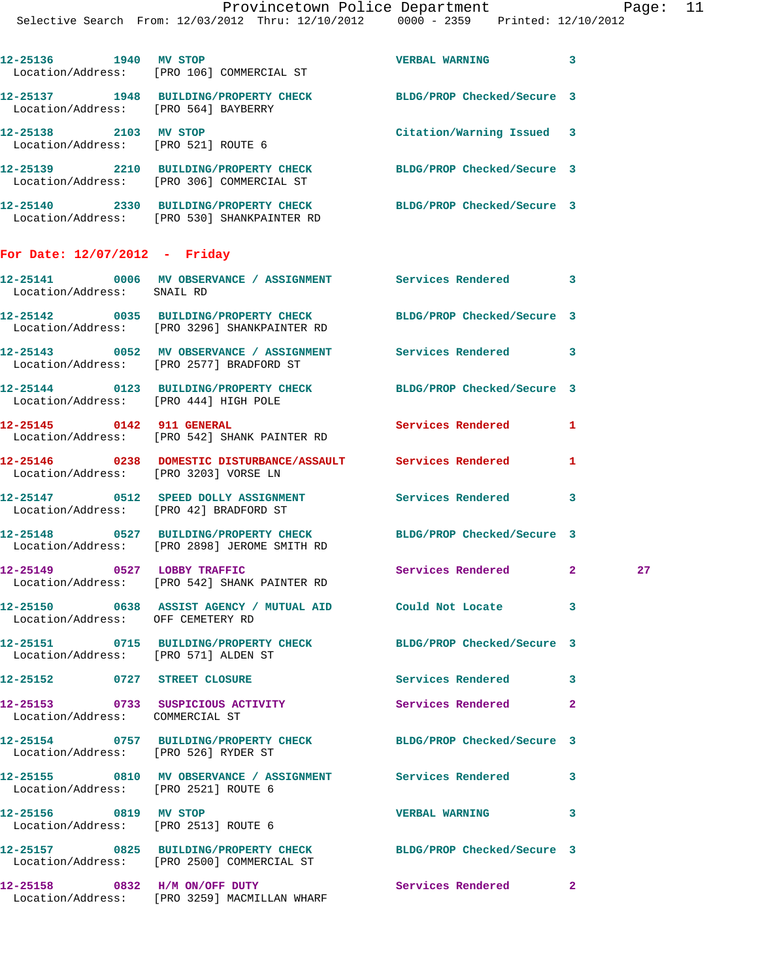|                                        | Provincetown Police Department Page: 11<br>Selective Search From: $12/03/2012$ Thru: $12/10/2012$ 0000 - 2359 Printed: $12/10/2012$ |                           |   |  |
|----------------------------------------|-------------------------------------------------------------------------------------------------------------------------------------|---------------------------|---|--|
|                                        | 12-25136 1940 MV STOP<br>Location/Address: [PRO 106] COMMERCIAL ST                                                                  | VERBAL WARNING 3          |   |  |
| Location/Address: [PRO 564] BAYBERRY   | 12-25137 1948 BUILDING/PROPERTY CHECK BLDG/PROP Checked/Secure 3                                                                    |                           |   |  |
|                                        | 12-25138 2103 MV STOP<br>Location/Address: [PRO 521] ROUTE 6                                                                        | Citation/Warning Issued 3 |   |  |
|                                        | 12-25139 2210 BUILDING/PROPERTY CHECK BLDG/PROP Checked/Secure 3<br>Location/Address: [PRO 306] COMMERCIAL ST                       |                           |   |  |
|                                        | 12-25140 2330 BUILDING/PROPERTY CHECK BLDG/PROP Checked/Secure 3<br>Location/Address: [PRO 530] SHANKPAINTER RD                     |                           |   |  |
| For Date: $12/07/2012$ - Friday        |                                                                                                                                     |                           |   |  |
| Location/Address: SNAIL RD             | 12-25141 0006 MV OBSERVANCE / ASSIGNMENT Services Rendered 3                                                                        |                           |   |  |
|                                        | 12-25142 0035 BUILDING/PROPERTY CHECK BLDG/PROP Checked/Secure 3<br>Location/Address: [PRO 3296] SHANKPAINTER RD                    |                           |   |  |
|                                        | 12-25143 0052 MV OBSERVANCE / ASSIGNMENT Services Rendered 3<br>Location/Address: [PRO 2577] BRADFORD ST                            |                           |   |  |
| Location/Address: [PRO 444] HIGH POLE  | 12-25144 0123 BUILDING/PROPERTY CHECK BLDG/PROP Checked/Secure 3                                                                    |                           |   |  |
|                                        | 12-25145 0142 911 GENERAL Services Rendered 1<br>Location/Address: [PRO 542] SHANK PAINTER RD                                       |                           |   |  |
| Location/Address: [PRO 3203] VORSE LN  | 12-25146 0238 DOMESTIC DISTURBANCE/ASSAULT Services Rendered                                                                        |                           | 1 |  |
| Location/Address: [PRO 42] BRADFORD ST | 12-25147 0512 SPEED DOLLY ASSIGNMENT Services Rendered 3                                                                            |                           |   |  |
|                                        | $10.05110$ $0.507$ $0.057$ $0.0000$ $0.0000$ $0.0000$ $0.0000$                                                                      |                           |   |  |

**12-25148 0527 BUILDING/PROPERTY CHECK BLDG/PROP Checked/Secure 3**  Location/Address: [PRO 2898] JEROME SMITH RD

**12-25149 0527 LOBBY TRAFFIC Services Rendered 2 27**  Location/Address: [PRO 542] SHANK PAINTER RD

**12-25150 0638 ASSIST AGENCY / MUTUAL AID Could Not Locate 3**  Location/Address: OFF CEMETERY RD

**12-25151 0715 BUILDING/PROPERTY CHECK BLDG/PROP Checked/Secure 3**  Location/Address: [PRO 571] ALDEN ST **12-25152 0727 STREET CLOSURE Services Rendered 3 12-25153 0733 SUSPICIOUS ACTIVITY Services Rendered 2**  Location/Address: COMMERCIAL ST

**12-25154 0757 BUILDING/PROPERTY CHECK BLDG/PROP Checked/Secure 3**  Location/Address: [PRO 526] RYDER ST **12-25155 0810 MV OBSERVANCE / ASSIGNMENT Services Rendered 3**  Location/Address: [PRO 2521] ROUTE 6 **12-25156 0819 MV STOP VERBAL WARNING 3**  Location/Address: [PRO 2513] ROUTE 6 **12-25157 0825 BUILDING/PROPERTY CHECK BLDG/PROP Checked/Secure 3**  Location/Address: [PRO 2500] COMMERCIAL ST

**12-25158 0832 H/M ON/OFF DUTY Services Rendered 2**  Location/Address: [PRO 3259] MACMILLAN WHARF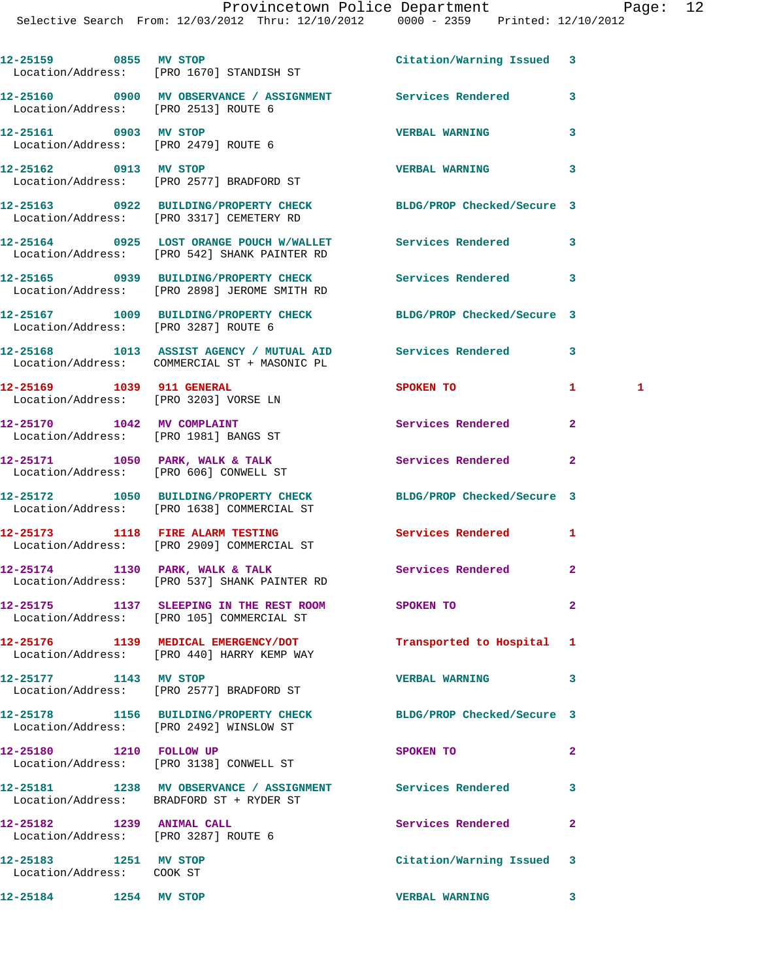|                                                    | 12-25159 0855 MV STOP<br>Location/Address: [PRO 1670] STANDISH ST                                              | Citation/Warning Issued 3 |                   |  |
|----------------------------------------------------|----------------------------------------------------------------------------------------------------------------|---------------------------|-------------------|--|
| Location/Address: [PRO 2513] ROUTE 6               | 12-25160 0900 MV OBSERVANCE / ASSIGNMENT Services Rendered                                                     |                           | 3                 |  |
| 12-25161 0903 MV STOP                              | Location/Address: [PRO 2479] ROUTE 6                                                                           | <b>VERBAL WARNING</b>     | 3                 |  |
| 12-25162 0913 MV STOP                              | Location/Address: [PRO 2577] BRADFORD ST                                                                       | <b>VERBAL WARNING</b>     | 3                 |  |
|                                                    | 12-25163 0922 BUILDING/PROPERTY CHECK BLDG/PROP Checked/Secure 3<br>Location/Address: [PRO 3317] CEMETERY RD   |                           |                   |  |
|                                                    | 12-25164 0925 LOST ORANGE POUCH W/WALLET Services Rendered<br>Location/Address: [PRO 542] SHANK PAINTER RD     |                           | 3                 |  |
|                                                    | 12-25165 0939 BUILDING/PROPERTY CHECK Services Rendered<br>Location/Address: [PRO 2898] JEROME SMITH RD        |                           | 3                 |  |
| Location/Address: [PRO 3287] ROUTE 6               | 12-25167 1009 BUILDING/PROPERTY CHECK BLDG/PROP Checked/Secure 3                                               |                           |                   |  |
|                                                    | 12-25168 1013 ASSIST AGENCY / MUTUAL AID Services Rendered<br>Location/Address: COMMERCIAL ST + MASONIC PL     |                           | 3                 |  |
| 12-25169 1039 911 GENERAL                          | Location/Address: [PRO 3203] VORSE LN                                                                          | SPOKEN TO                 | $\mathbf{1}$<br>1 |  |
|                                                    | 12-25170 1042 MV COMPLAINT<br>Location/Address: [PRO 1981] BANGS ST                                            | Services Rendered         | $\mathbf{2}$      |  |
|                                                    | 12-25171 1050 PARK, WALK & TALK<br>Location/Address: [PRO 606] CONWELL ST                                      | Services Rendered         | $\mathbf{2}$      |  |
|                                                    | 12-25172 1050 BUILDING/PROPERTY CHECK BLDG/PROP Checked/Secure 3<br>Location/Address: [PRO 1638] COMMERCIAL ST |                           |                   |  |
|                                                    | 12-25173 1118 FIRE ALARM TESTING Services Rendered<br>Location/Address: [PRO 2909] COMMERCIAL ST               |                           | 1                 |  |
|                                                    | 12-25174 1130 PARK, WALK & TALK<br>Location/Address: [PRO 537] SHANK PAINTER RD                                | Services Rendered         | $\mathbf{2}$      |  |
|                                                    | 12-25175 1137 SLEEPING IN THE REST ROOM<br>Location/Address: [PRO 105] COMMERCIAL ST                           | SPOKEN TO                 |                   |  |
|                                                    | 12-25176 1139 MEDICAL EMERGENCY/DOT<br>Location/Address: [PRO 440] HARRY KEMP WAY                              | Transported to Hospital 1 |                   |  |
| 12-25177 1143 MV STOP                              | Location/Address: [PRO 2577] BRADFORD ST                                                                       | <b>VERBAL WARNING</b>     | 3                 |  |
|                                                    | 12-25178 1156 BUILDING/PROPERTY CHECK BLDG/PROP Checked/Secure 3<br>Location/Address: [PRO 2492] WINSLOW ST    |                           |                   |  |
| 12-25180 1210 FOLLOW UP                            | Location/Address: [PRO 3138] CONWELL ST                                                                        | SPOKEN TO                 | $\mathbf{2}$      |  |
|                                                    | 12-25181 1238 MV OBSERVANCE / ASSIGNMENT Services Rendered<br>Location/Address: BRADFORD ST + RYDER ST         |                           | 3                 |  |
| 12-25182 1239 ANIMAL CALL                          | Location/Address: [PRO 3287] ROUTE 6                                                                           | Services Rendered         | $\mathbf{2}$      |  |
| 12-25183 1251 MV STOP<br>Location/Address: COOK ST |                                                                                                                | Citation/Warning Issued   | 3                 |  |
| 12-25184 1254 MV STOP                              |                                                                                                                | <b>VERBAL WARNING</b>     | 3                 |  |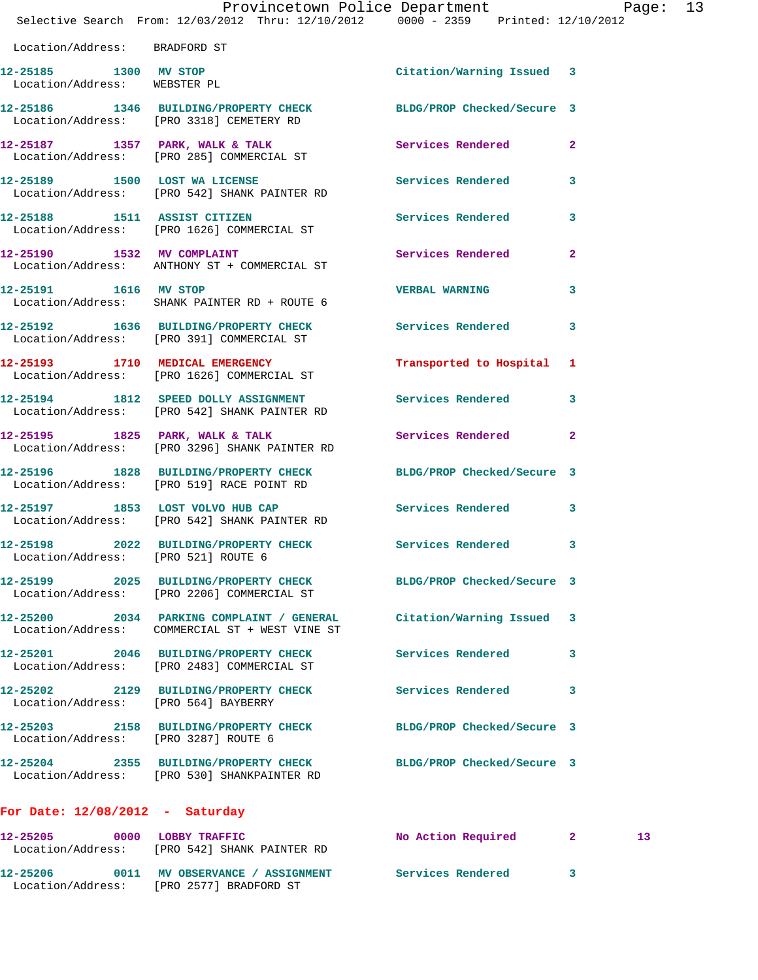|                                                       | Provincetown Police Department Page: 13                                                                         |                            |                 |  |
|-------------------------------------------------------|-----------------------------------------------------------------------------------------------------------------|----------------------------|-----------------|--|
|                                                       | Selective Search From: $12/03/2012$ Thru: $12/10/2012$ 0000 - 2359 Printed: $12/10/2012$                        |                            |                 |  |
| Location/Address: BRADFORD ST                         |                                                                                                                 |                            |                 |  |
| 12-25185 1300 MV STOP<br>Location/Address: WEBSTER PL |                                                                                                                 | Citation/Warning Issued 3  |                 |  |
|                                                       | 12-25186 1346 BUILDING/PROPERTY CHECK BLDG/PROP Checked/Secure 3<br>Location/Address: [PRO 3318] CEMETERY RD    |                            |                 |  |
|                                                       | 12-25187 1357 PARK, WALK & TALK 1999 Services Rendered 2<br>Location/Address: [PRO 285] COMMERCIAL ST           |                            |                 |  |
|                                                       | 12-25189 1500 LOST WA LICENSE<br>Location/Address: [PRO 542] SHANK PAINTER RD                                   | Services Rendered 3        |                 |  |
| 12-25188 1511 ASSIST CITIZEN                          | Location/Address: [PRO 1626] COMMERCIAL ST                                                                      | Services Rendered 3        |                 |  |
|                                                       | 12-25190 1532 MV COMPLAINT<br>Location/Address: ANTHONY ST + COMMERCIAL ST                                      | <b>Services Rendered</b>   | $\mathbf{2}$    |  |
| 12-25191 1616 MV STOP                                 | Location/Address: SHANK PAINTER RD + ROUTE 6                                                                    | <b>VERBAL WARNING</b>      | 3               |  |
|                                                       | 12-25192 1636 BUILDING/PROPERTY CHECK Services Rendered 3<br>Location/Address: [PRO 391] COMMERCIAL ST          |                            |                 |  |
|                                                       | 12-25193 1710 MEDICAL EMERGENCY<br>Location/Address: [PRO 1626] COMMERCIAL ST                                   | Transported to Hospital 1  |                 |  |
|                                                       | 12-25194 1812 SPEED DOLLY ASSIGNMENT Services Rendered 3<br>Location/Address: [PRO 542] SHANK PAINTER RD        |                            |                 |  |
|                                                       | 12-25195 1825 PARK, WALK & TALK Services Rendered<br>Location/Address: [PRO 3296] SHANK PAINTER RD              |                            | $\mathbf{2}$    |  |
|                                                       | 12-25196 1828 BUILDING/PROPERTY CHECK BLDG/PROP Checked/Secure 3<br>Location/Address: [PRO 519] RACE POINT RD   |                            |                 |  |
|                                                       | 12-25197 1853 LOST VOLVO HUB CAP<br>Location/Address: [PRO 542] SHANK PAINTER RD                                | Services Rendered 3        |                 |  |
|                                                       | 12-25198 2022 BUILDING/PROPERTY CHECK Services Rendered 3<br>Location/Address: [PRO 521] ROUTE 6                |                            |                 |  |
|                                                       | 12-25199 2025 BUILDING/PROPERTY CHECK<br>Location/Address: [PRO 2206] COMMERCIAL ST                             | BLDG/PROP Checked/Secure 3 |                 |  |
|                                                       | 12-25200 2034 PARKING COMPLAINT / GENERAL<br>Location/Address: COMMERCIAL ST + WEST VINE ST                     | Citation/Warning Issued 3  |                 |  |
|                                                       | 12-25201 2046 BUILDING/PROPERTY CHECK<br>Location/Address: [PRO 2483] COMMERCIAL ST                             | Services Rendered          | 3               |  |
| Location/Address: [PRO 564] BAYBERRY                  | 12-25202 2129 BUILDING/PROPERTY CHECK                                                                           | <b>Services Rendered</b>   | 3               |  |
| Location/Address: [PRO 3287] ROUTE 6                  | 12-25203 2158 BUILDING/PROPERTY CHECK                                                                           | BLDG/PROP Checked/Secure 3 |                 |  |
|                                                       | 12-25204 2355 BUILDING/PROPERTY CHECK BLDG/PROP Checked/Secure 3<br>Location/Address: [PRO 530] SHANKPAINTER RD |                            |                 |  |
| For Date: $12/08/2012$ - Saturday                     |                                                                                                                 |                            |                 |  |
| 12-25205 0000 LOBBY TRAFFIC                           | Location/Address: [PRO 542] SHANK PAINTER RD                                                                    | No Action Required 2       | 13 <sub>1</sub> |  |
|                                                       | 12-25206   0011 MV OBSERVANCE / ASSIGNMENT   Services Rendered                                                  |                            | 3               |  |

Location/Address: [PRO 2577] BRADFORD ST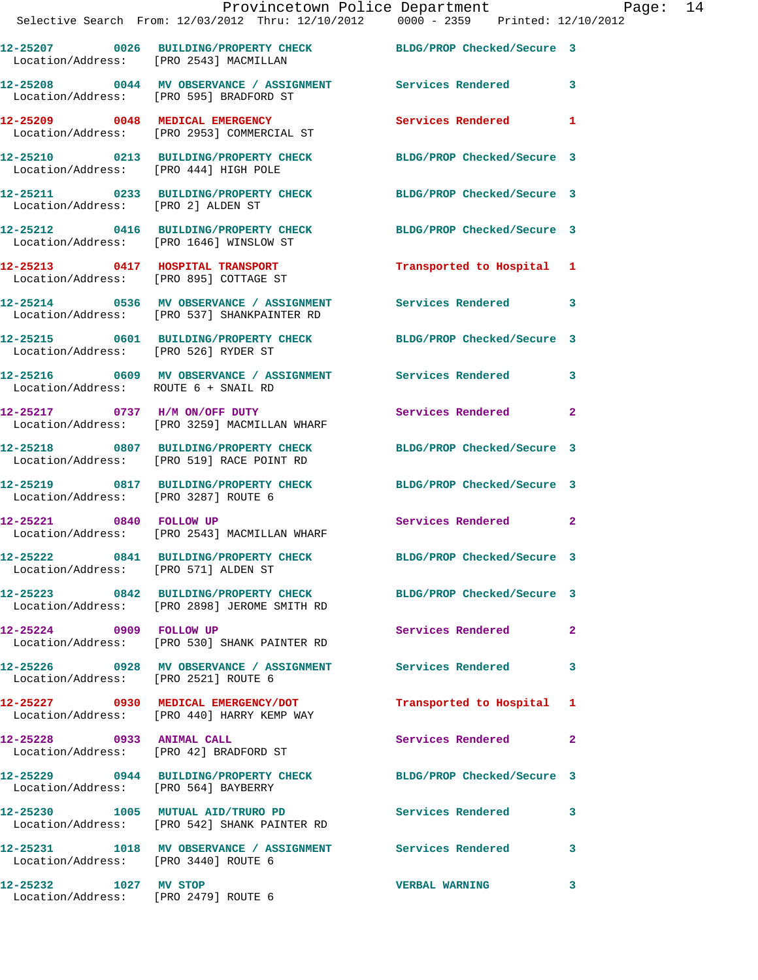|                                      | Provincetown Police Department The Page: 14<br>Selective Search From: 12/03/2012 Thru: 12/10/2012 0000 - 2359 Printed: 12/10/2012 |                           |              |
|--------------------------------------|-----------------------------------------------------------------------------------------------------------------------------------|---------------------------|--------------|
|                                      | 12-25207 0026 BUILDING/PROPERTY CHECK BLDG/PROP Checked/Secure 3<br>Location/Address: [PRO 2543] MACMILLAN                        |                           |              |
|                                      | 12-25208 0044 MV OBSERVANCE / ASSIGNMENT Services Rendered 3<br>Location/Address: [PRO 595] BRADFORD ST                           |                           |              |
|                                      | 12-25209 0048 MEDICAL EMERGENCY Services Rendered 1<br>Location/Address: [PRO 2953] COMMERCIAL ST                                 |                           |              |
|                                      | 12-25210 0213 BUILDING/PROPERTY CHECK BLDG/PROP Checked/Secure 3<br>Location/Address: [PRO 444] HIGH POLE                         |                           |              |
| Location/Address: [PRO 2] ALDEN ST   | 12-25211 0233 BUILDING/PROPERTY CHECK BLDG/PROP Checked/Secure 3                                                                  |                           |              |
|                                      | 12-25212 0416 BUILDING/PROPERTY CHECK BLDG/PROP Checked/Secure 3<br>Location/Address: [PRO 1646] WINSLOW ST                       |                           |              |
|                                      | 12-25213 0417 HOSPITAL TRANSPORT<br>Location/Address: [PRO 895] COTTAGE ST                                                        | Transported to Hospital 1 |              |
|                                      | 12-25214 0536 MV OBSERVANCE / ASSIGNMENT Services Rendered 3<br>Location/Address: [PRO 537] SHANKPAINTER RD                       |                           |              |
|                                      | 12-25215 0601 BUILDING/PROPERTY CHECK BLDG/PROP Checked/Secure 3<br>Location/Address: [PRO 526] RYDER ST                          |                           |              |
| Location/Address: ROUTE 6 + SNAIL RD | 12-25216 0609 MV OBSERVANCE / ASSIGNMENT Services Rendered 3                                                                      |                           |              |
|                                      | 12-25217 0737 H/M ON/OFF DUTY<br>Location/Address: [PRO 3259] MACMILLAN WHARF                                                     | Services Rendered         | $\mathbf{2}$ |
|                                      | 12-25218 0807 BUILDING/PROPERTY CHECK BLDG/PROP Checked/Secure 3<br>Location/Address: [PRO 519] RACE POINT RD                     |                           |              |
|                                      | 12-25219 0817 BUILDING/PROPERTY CHECK BLDG/PROP Checked/Secure 3<br>Location/Address: [PRO 3287] ROUTE 6                          |                           |              |
| 12-25221 0840 FOLLOW UP              | Location/Address: [PRO 2543] MACMILLAN WHARF                                                                                      | Services Rendered 2       |              |
|                                      | 12-25222 0841 BUILDING/PROPERTY CHECK BLDG/PROP Checked/Secure 3<br>Location/Address: [PRO 571] ALDEN ST                          |                           |              |
|                                      | 12-25223 0842 BUILDING/PROPERTY CHECK BLDG/PROP Checked/Secure 3<br>Location/Address: [PRO 2898] JEROME SMITH RD                  |                           |              |
|                                      | 12-25224 0909 FOLLOW UP<br>Location/Address: [PRO 530] SHANK PAINTER RD                                                           | Services Rendered         | $\mathbf{2}$ |
| Location/Address: [PRO 2521] ROUTE 6 | 12-25226 0928 MV OBSERVANCE / ASSIGNMENT Services Rendered 3                                                                      |                           |              |
|                                      | 12-25227 0930 MEDICAL EMERGENCY/DOT<br>Location/Address: [PRO 440] HARRY KEMP WAY                                                 | Transported to Hospital 1 |              |
| 12-25228 0933 ANIMAL CALL            | Location/Address: [PRO 42] BRADFORD ST                                                                                            | Services Rendered 2       |              |
| Location/Address: [PRO 564] BAYBERRY | 12-25229 0944 BUILDING/PROPERTY CHECK BLDG/PROP Checked/Secure 3                                                                  |                           |              |
|                                      | 12-25230 1005 MUTUAL AID/TRURO PD Services Rendered 3<br>Location/Address: [PRO 542] SHANK PAINTER RD                             |                           |              |
| Location/Address: [PRO 3440] ROUTE 6 | 12-25231 1018 MV OBSERVANCE / ASSIGNMENT Services Rendered 3                                                                      |                           |              |
| 12-25232 1027 MV STOP                |                                                                                                                                   | <b>VERBAL WARNING</b>     | 3            |

Location/Address: [PRO 2479] ROUTE 6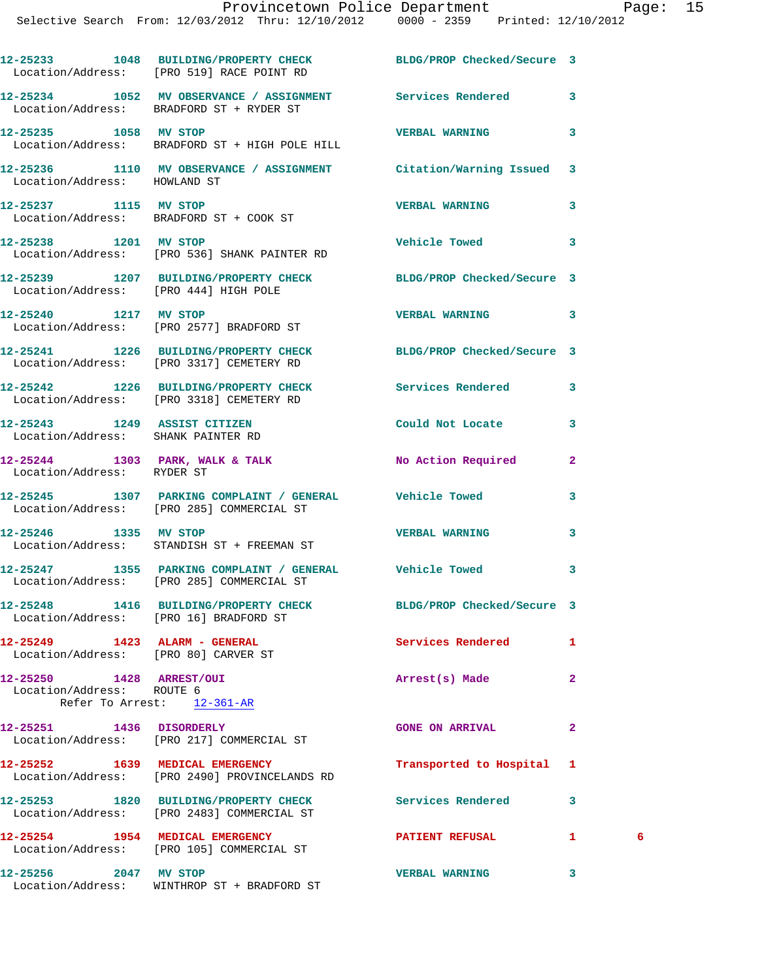**12-25233 1048 BUILDING/PROPERTY CHECK BLDG/PROP Checked/Secure 3**  Location/Address: [PRO 519] RACE POINT RD **12-25234 1052 MV OBSERVANCE / ASSIGNMENT Services Rendered 3**  Location/Address: BRADFORD ST + RYDER ST **12-25235 1058 MV STOP VERBAL WARNING 3**  Location/Address: BRADFORD ST + HIGH POLE HILL **12-25236 1110 MV OBSERVANCE / ASSIGNMENT Citation/Warning Issued 3**  Location/Address: HOWLAND ST **12-25237 1115 MV STOP VERBAL WARNING 3**  Location/Address: BRADFORD ST + COOK ST **12-25238 1201 MV STOP Vehicle Towed 3**  Location/Address: [PRO 536] SHANK PAINTER RD **12-25239 1207 BUILDING/PROPERTY CHECK BLDG/PROP Checked/Secure 3**  Location/Address: [PRO 444] HIGH POLE **12-25240 1217 MV STOP VERBAL WARNING 3**  Location/Address: [PRO 2577] BRADFORD ST **12-25241 1226 BUILDING/PROPERTY CHECK BLDG/PROP Checked/Secure 3**  Location/Address: [PRO 3317] CEMETERY RD **12-25242 1226 BUILDING/PROPERTY CHECK Services Rendered 3**  Location/Address: [PRO 3318] CEMETERY RD **12-25243 1249 ASSIST CITIZEN Could Not Locate 3**  Location/Address: SHANK PAINTER RD **12-25244 1303 PARK, WALK & TALK No Action Required 2**  Location/Address: RYDER ST **12-25245 1307 PARKING COMPLAINT / GENERAL Vehicle Towed 3**  Location/Address: [PRO 285] COMMERCIAL ST **12-25246 1335 MV STOP VERBAL WARNING 3**  Location/Address: STANDISH ST + FREEMAN ST **12-25247 1355 PARKING COMPLAINT / GENERAL Vehicle Towed 3**  Location/Address: [PRO 285] COMMERCIAL ST **12-25248 1416 BUILDING/PROPERTY CHECK BLDG/PROP Checked/Secure 3**  Location/Address: [PRO 16] BRADFORD ST **12-25249 1423 ALARM - GENERAL Services Rendered 1**  Location/Address: [PRO 80] CARVER ST **12-25250 1428 ARREST/OUI Arrest(s) Made 2**  Location/Address: ROUTE 6 Refer To Arrest: 12-361-AR **12-25251 1436 DISORDERLY GONE ON ARRIVAL 2**  Location/Address: [PRO 217] COMMERCIAL ST **12-25252 1639 MEDICAL EMERGENCY Transported to Hospital 1**  Location/Address: [PRO 2490] PROVINCELANDS RD **12-25253 1820 BUILDING/PROPERTY CHECK Services Rendered 3**  Location/Address: [PRO 2483] COMMERCIAL ST **12-25254 1954 MEDICAL EMERGENCY PATIENT REFUSAL 1 6**  Location/Address: [PRO 105] COMMERCIAL ST **12-25256 2047 MV STOP VERBAL WARNING 3** 

Location/Address: WINTHROP ST + BRADFORD ST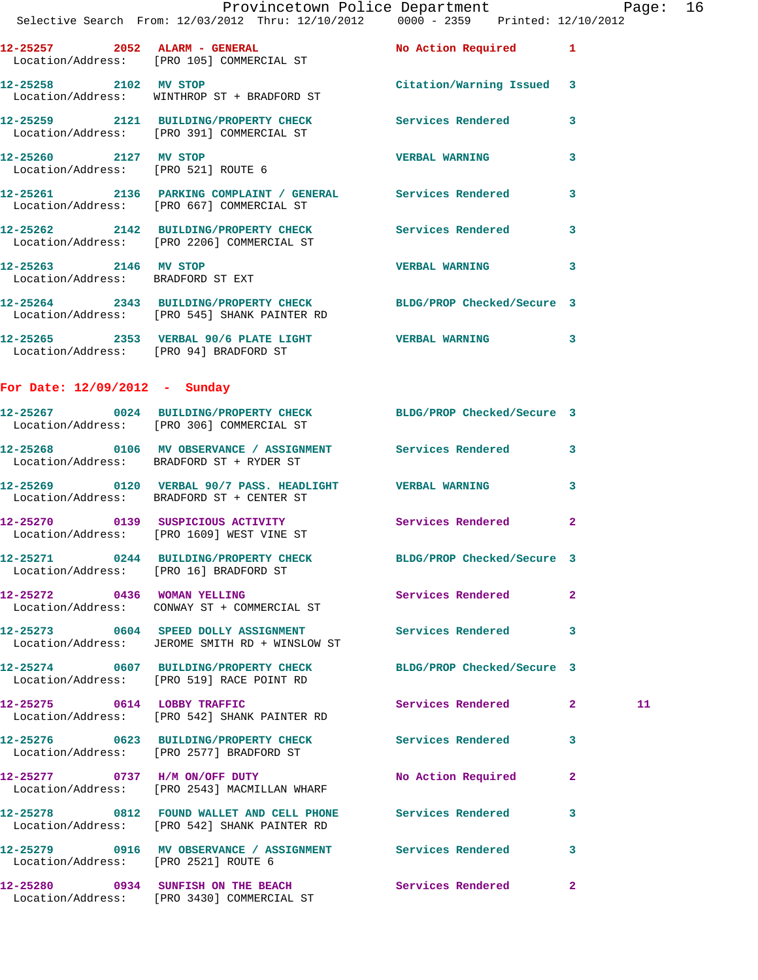|                                   | Provincetown Police Department<br>Selective Search From: 12/03/2012 Thru: 12/10/2012 0000 - 2359 Printed: 12/10/2012 |                            |              |  |
|-----------------------------------|----------------------------------------------------------------------------------------------------------------------|----------------------------|--------------|--|
|                                   | 12-25257 2052 ALARM - GENERAL No Action Required 1<br>Location/Address: [PRO 105] COMMERCIAL ST                      |                            |              |  |
|                                   | 12-25258 2102 MV STOP<br>Location/Address: WINTHROP ST + BRADFORD ST                                                 | Citation/Warning Issued 3  |              |  |
|                                   | 12-25259 2121 BUILDING/PROPERTY CHECK Services Rendered 3<br>Location/Address: [PRO 391] COMMERCIAL ST               |                            |              |  |
|                                   | 12-25260 2127 MV STOP<br>Location/Address: [PRO 521] ROUTE 6                                                         | <b>VERBAL WARNING</b>      | $\mathbf{3}$ |  |
|                                   | 12-25261 2136 PARKING COMPLAINT / GENERAL Services Rendered<br>Location/Address: [PRO 667] COMMERCIAL ST             |                            | $\mathbf{3}$ |  |
|                                   | 12-25262 2142 BUILDING/PROPERTY CHECK Services Rendered 3<br>Location/Address: [PRO 2206] COMMERCIAL ST              |                            |              |  |
| Location/Address: BRADFORD ST EXT |                                                                                                                      |                            |              |  |
|                                   | 12-25264 2343 BUILDING/PROPERTY CHECK BLDG/PROP Checked/Secure 3<br>Location/Address: [PRO 545] SHANK PAINTER RD     |                            |              |  |
|                                   | 12-25265 2353 VERBAL 90/6 PLATE LIGHT VERBAL WARNING 3<br>Location/Address: [PRO 94] BRADFORD ST                     |                            |              |  |
| For Date: 12/09/2012 - Sunday     |                                                                                                                      |                            |              |  |
|                                   | 12-25267 0024 BUILDING/PROPERTY CHECK BLDG/PROP Checked/Secure 3<br>Location/Address: [PRO 306] COMMERCIAL ST        |                            |              |  |
|                                   | 12-25268 0106 MV OBSERVANCE / ASSIGNMENT Services Rendered 3<br>Location/Address: BRADFORD ST + RYDER ST             |                            |              |  |
|                                   | 12-25269 0120 VERBAL 90/7 PASS. HEADLIGHT VERBAL WARNING 3<br>Location/Address: BRADFORD ST + CENTER ST              |                            |              |  |
|                                   | 12-25270 0139 SUSPICIOUS ACTIVITY Services Rendered<br>Location/Address: [PRO 1609] WEST VINE ST                     |                            | $\mathbf{2}$ |  |
|                                   | 12-25271 0244 BUILDING/PROPERTY CHECK BLDG/PROP Checked/Secure 3<br>Location/Address: [PRO 16] BRADFORD ST           |                            |              |  |
|                                   | 12-25272 0436 WOMAN YELLING<br>Location/Address: CONWAY ST + COMMERCIAL ST                                           | Services Rendered          | -2           |  |
|                                   | 12-25273 0604 SPEED DOLLY ASSIGNMENT<br>Location/Address: JEROME SMITH RD + WINSLOW ST                               | Services Rendered          | 3            |  |
|                                   | 12-25274 0607 BUILDING/PROPERTY CHECK<br>Location/Address: [PRO 519] RACE POINT RD                                   | BLDG/PROP Checked/Secure 3 |              |  |
|                                   | 12-25275 0614 LOBBY TRAFFIC<br>Location/Address: [PRO 542] SHANK PAINTER RD                                          | Services Rendered 2        | 11           |  |
|                                   | 12-25276 0623 BUILDING/PROPERTY CHECK Services Rendered<br>Location/Address: [PRO 2577] BRADFORD ST                  |                            | 3            |  |
|                                   | 12-25277 0737 H/M ON/OFF DUTY<br>Location/Address: [PRO 2543] MACMILLAN WHARF                                        | No Action Required         | $\mathbf{2}$ |  |

**12-25278 0812 FOUND WALLET AND CELL PHONE Services Rendered 3**  Location/Address: [PRO 542] SHANK PAINTER RD

**12-25279 0916 MV OBSERVANCE / ASSIGNMENT Services Rendered 3**  Location/Address: [PRO 2521] ROUTE 6

**12-25280 0934 SUNFISH ON THE BEACH Services Rendered 2**  Location/Address: [PRO 3430] COMMERCIAL ST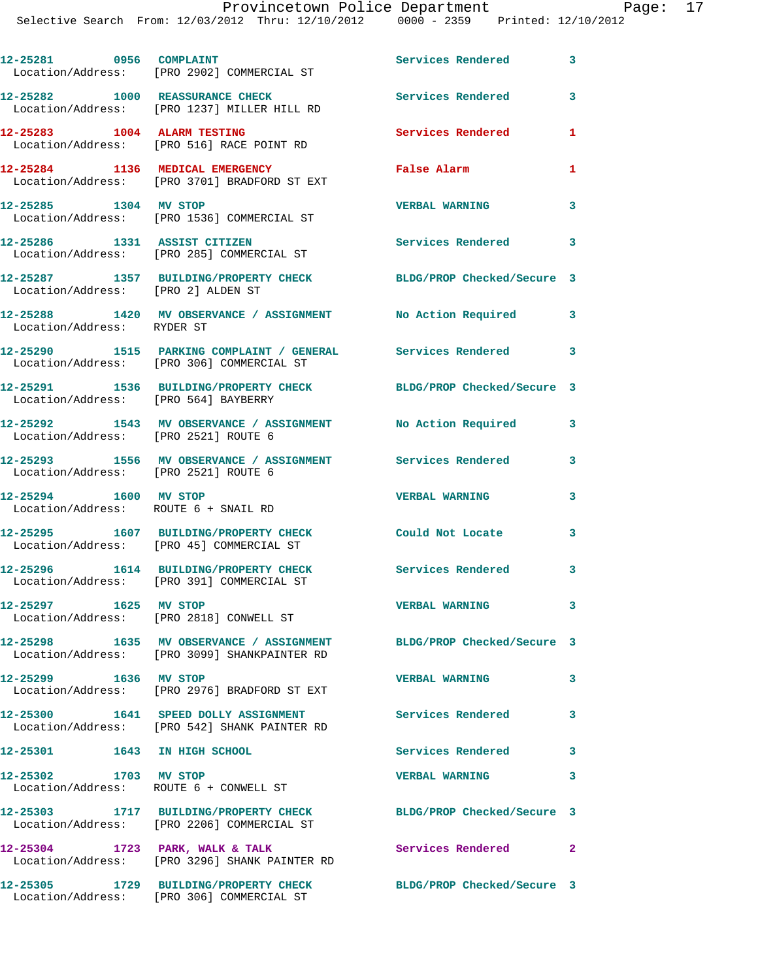Provincetown Police Department Page: 17 Selective Search From: 12/03/2012 Thru: 12/10/2012 0000 - 2359 Printed: 12/10/2012

| 12-25281 0956 COMPLAINT                                       | Location/Address: [PRO 2902] COMMERCIAL ST                                                               | Services Rendered          | 3 |
|---------------------------------------------------------------|----------------------------------------------------------------------------------------------------------|----------------------------|---|
|                                                               | 12-25282 1000 REASSURANCE CHECK<br>Location/Address: [PRO 1237] MILLER HILL RD                           | <b>Services Rendered</b>   | 3 |
| 12-25283 1004 ALARM TESTING                                   | Location/Address: [PRO 516] RACE POINT RD                                                                | Services Rendered          | 1 |
|                                                               | 12-25284 1136 MEDICAL EMERGENCY<br>Location/Address: [PRO 3701] BRADFORD ST EXT                          | <b>False Alarm</b>         | 1 |
| 12-25285 1304 MV STOP                                         | Location/Address: [PRO 1536] COMMERCIAL ST                                                               | <b>VERBAL WARNING</b>      | 3 |
|                                                               | 12-25286 1331 ASSIST CITIZEN<br>Location/Address: [PRO 285] COMMERCIAL ST                                | <b>Services Rendered</b>   | 3 |
| Location/Address: [PRO 2] ALDEN ST                            | 12-25287 1357 BUILDING/PROPERTY CHECK BLDG/PROP Checked/Secure 3                                         |                            |   |
| Location/Address: RYDER ST                                    | 12-25288 1420 MV OBSERVANCE / ASSIGNMENT No Action Required 3                                            |                            |   |
|                                                               | 12-25290 1515 PARKING COMPLAINT / GENERAL Services Rendered<br>Location/Address: [PRO 306] COMMERCIAL ST |                            | 3 |
| Location/Address: [PRO 564] BAYBERRY                          | 12-25291 1536 BUILDING/PROPERTY CHECK BLDG/PROP Checked/Secure 3                                         |                            |   |
| Location/Address: [PRO 2521] ROUTE 6                          | 12-25292 1543 MV OBSERVANCE / ASSIGNMENT                                                                 | No Action Required         | 3 |
| Location/Address: [PRO 2521] ROUTE 6                          | 12-25293 1556 MV OBSERVANCE / ASSIGNMENT Services Rendered                                               |                            | 3 |
| 12-25294 1600 MV STOP<br>Location/Address: ROUTE 6 + SNAIL RD |                                                                                                          | <b>VERBAL WARNING</b>      | 3 |
|                                                               | 12-25295 1607 BUILDING/PROPERTY CHECK<br>Location/Address: [PRO 45] COMMERCIAL ST                        | Could Not Locate           | 3 |
|                                                               | 12-25296 1614 BUILDING/PROPERTY CHECK<br>Location/Address: [PRO 391] COMMERCIAL ST                       | Services Rendered          | 3 |
| 12-25297 1625 MV STOP                                         | Location/Address: [PRO 2818] CONWELL ST                                                                  | <b>VERBAL WARNING</b>      | 3 |
|                                                               | 12-25298 1635 MV OBSERVANCE / ASSIGNMENT<br>Location/Address: [PRO 3099] SHANKPAINTER RD                 | BLDG/PROP Checked/Secure 3 |   |
| 12-25299 1636 MV STOP                                         | Location/Address: [PRO 2976] BRADFORD ST EXT                                                             | <b>VERBAL WARNING</b>      | 3 |
|                                                               | 12-25300 1641 SPEED DOLLY ASSIGNMENT<br>Location/Address: [PRO 542] SHANK PAINTER RD                     | <b>Services Rendered</b>   | 3 |
| 12-25301 1643 IN HIGH SCHOOL                                  |                                                                                                          | <b>Services Rendered</b>   | 3 |
| 12-25302 1703 MV STOP                                         | Location/Address: ROUTE 6 + CONWELL ST                                                                   | <b>VERBAL WARNING</b>      | 3 |
|                                                               | 12-25303 1717 BUILDING/PROPERTY CHECK<br>Location/Address: [PRO 2206] COMMERCIAL ST                      | BLDG/PROP Checked/Secure 3 |   |
|                                                               | 12-25304 1723 PARK, WALK & TALK<br>Location/Address: [PRO 3296] SHANK PAINTER RD                         | Services Rendered          | 2 |
|                                                               | 12-25305 1729 BUILDING/PROPERTY CHECK<br>Location/Address: [PRO 306] COMMERCIAL ST                       | BLDG/PROP Checked/Secure 3 |   |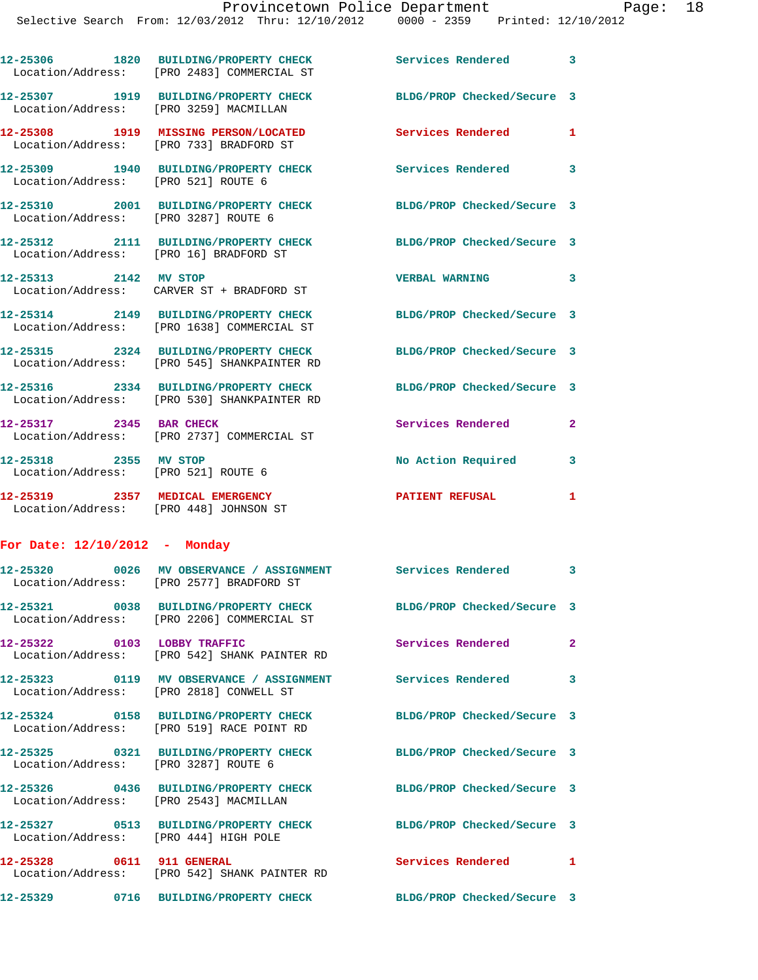|                                 | 12-25306 1820 BUILDING/PROPERTY CHECK<br>Location/Address: [PRO 2483] COMMERCIAL ST                   | <b>Services Rendered</b> 3 |              |
|---------------------------------|-------------------------------------------------------------------------------------------------------|----------------------------|--------------|
|                                 | 12-25307 1919 BUILDING/PROPERTY CHECK<br>Location/Address: [PRO 3259] MACMILLAN                       | BLDG/PROP Checked/Secure 3 |              |
|                                 | 12-25308 1919 MISSING PERSON/LOCATED<br>Location/Address: [PRO 733] BRADFORD ST                       | <b>Services Rendered</b>   | 1            |
|                                 | 12-25309 1940 BUILDING/PROPERTY CHECK Services Rendered 3<br>Location/Address: [PRO 521] ROUTE 6      |                            |              |
|                                 | 12-25310 2001 BUILDING/PROPERTY CHECK<br>Location/Address: [PRO 3287] ROUTE 6                         | BLDG/PROP Checked/Secure 3 |              |
|                                 | 12-25312 2111 BUILDING/PROPERTY CHECK<br>Location/Address: [PRO 16] BRADFORD ST                       | BLDG/PROP Checked/Secure 3 |              |
| 12-25313 2142 MV STOP           | Location/Address: CARVER ST + BRADFORD ST                                                             | <b>VERBAL WARNING</b>      | 3            |
|                                 | 12-25314 2149 BUILDING/PROPERTY CHECK<br>Location/Address: [PRO 1638] COMMERCIAL ST                   | BLDG/PROP Checked/Secure 3 |              |
|                                 | 12-25315 2324 BUILDING/PROPERTY CHECK<br>Location/Address: [PRO 545] SHANKPAINTER RD                  | BLDG/PROP Checked/Secure 3 |              |
|                                 | 12-25316 2334 BUILDING/PROPERTY CHECK<br>Location/Address: [PRO 530] SHANKPAINTER RD                  | BLDG/PROP Checked/Secure 3 |              |
| 12-25317 2345 BAR CHECK         | Location/Address: [PRO 2737] COMMERCIAL ST                                                            | Services Rendered          | $\mathbf{2}$ |
| 12-25318 2355 MV STOP           | Location/Address: [PRO 521] ROUTE 6                                                                   | No Action Required         | 3            |
|                                 | 12-25319 2357 MEDICAL EMERGENCY<br>Location/Address: [PRO 448] JOHNSON ST                             | PATIENT REFUSAL            | 1            |
| For Date: $12/10/2012$ - Monday |                                                                                                       |                            |              |
| 12-25320                        | 0026 MV OBSERVANCE / ASSIGNMENT<br>Location/Address: [PRO 2577] BRADFORD ST                           | Services Rendered 3        |              |
| 12-25321                        | 0038 BUILDING/PROPERTY CHECK<br>Location/Address: [PRO 2206] COMMERCIAL ST                            | BLDG/PROP Checked/Secure 3 |              |
|                                 | 12-25322 0103 LOBBY TRAFFIC<br>Location/Address: [PRO 542] SHANK PAINTER RD                           | Services Rendered          | $\mathbf{2}$ |
|                                 | 12-25323 0119 MV OBSERVANCE / ASSIGNMENT Services Rendered<br>Location/Address: [PRO 2818] CONWELL ST |                            | 3            |
|                                 | 12-25324 0158 BUILDING/PROPERTY CHECK<br>Location/Address: [PRO 519] RACE POINT RD                    | BLDG/PROP Checked/Secure 3 |              |
|                                 | 12-25325 0321 BUILDING/PROPERTY CHECK<br>Location/Address: [PRO 3287] ROUTE 6                         | BLDG/PROP Checked/Secure 3 |              |
|                                 | 12-25326 0436 BUILDING/PROPERTY CHECK<br>Location/Address: [PRO 2543] MACMILLAN                       | BLDG/PROP Checked/Secure 3 |              |
|                                 | 12-25327 0513 BUILDING/PROPERTY CHECK<br>Location/Address: [PRO 444] HIGH POLE                        | BLDG/PROP Checked/Secure 3 |              |
| 12-25328 0611 911 GENERAL       | Location/Address: [PRO 542] SHANK PAINTER RD                                                          | Services Rendered 1        |              |
|                                 | 12-25329 0716 BUILDING/PROPERTY CHECK                                                                 | BLDG/PROP Checked/Secure 3 |              |